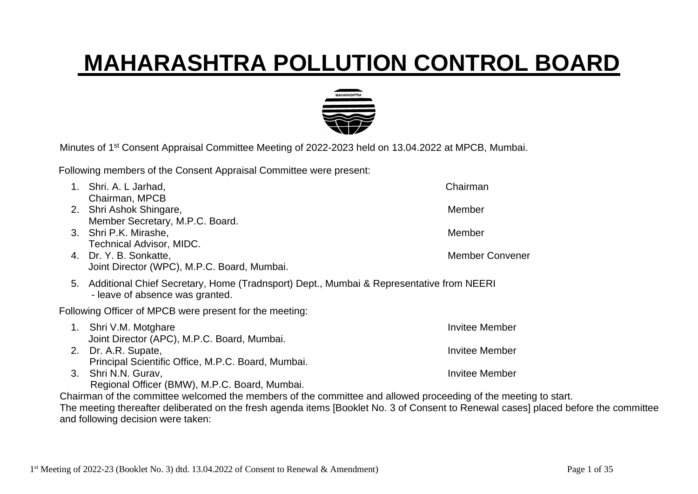## **MAHARASHTRA POLLUTION CONTROL BOARD**



Minutes of 1<sup>st</sup> Consent Appraisal Committee Meeting of 2022-2023 held on 13.04.2022 at MPCB, Mumbai.

Following members of the Consent Appraisal Committee were present:

|    | Shri. A. L Jarhad,                                                                                                         | Chairman               |  |  |  |  |
|----|----------------------------------------------------------------------------------------------------------------------------|------------------------|--|--|--|--|
|    | Chairman, MPCB                                                                                                             |                        |  |  |  |  |
| 2. | Shri Ashok Shingare,                                                                                                       | Member                 |  |  |  |  |
|    | Member Secretary, M.P.C. Board.<br>3. Shri P.K. Mirashe,                                                                   | Member                 |  |  |  |  |
|    | Technical Advisor, MIDC.                                                                                                   |                        |  |  |  |  |
| 4. | Dr. Y. B. Sonkatte,                                                                                                        | <b>Member Convener</b> |  |  |  |  |
|    | Joint Director (WPC), M.P.C. Board, Mumbai.                                                                                |                        |  |  |  |  |
| 5. | Additional Chief Secretary, Home (Tradnsport) Dept., Mumbai & Representative from NEERI<br>- leave of absence was granted. |                        |  |  |  |  |
|    | Following Officer of MPCB were present for the meeting:                                                                    |                        |  |  |  |  |
| 1. | Shri V.M. Motghare                                                                                                         | <b>Invitee Member</b>  |  |  |  |  |
|    | Joint Director (APC), M.P.C. Board, Mumbai.                                                                                |                        |  |  |  |  |
| 2. | Dr. A.R. Supate,                                                                                                           | <b>Invitee Member</b>  |  |  |  |  |
|    | Principal Scientific Office, M.P.C. Board, Mumbai.                                                                         | <b>Invitee Member</b>  |  |  |  |  |
| 3. | Shri N.N. Gurav,<br>Regional Officer (BMW), M.P.C. Board, Mumbai.                                                          |                        |  |  |  |  |
|    |                                                                                                                            |                        |  |  |  |  |

Chairman of the committee welcomed the members of the committee and allowed proceeding of the meeting to start. The meeting thereafter deliberated on the fresh agenda items [Booklet No. 3 of Consent to Renewal cases] placed before the committee and following decision were taken: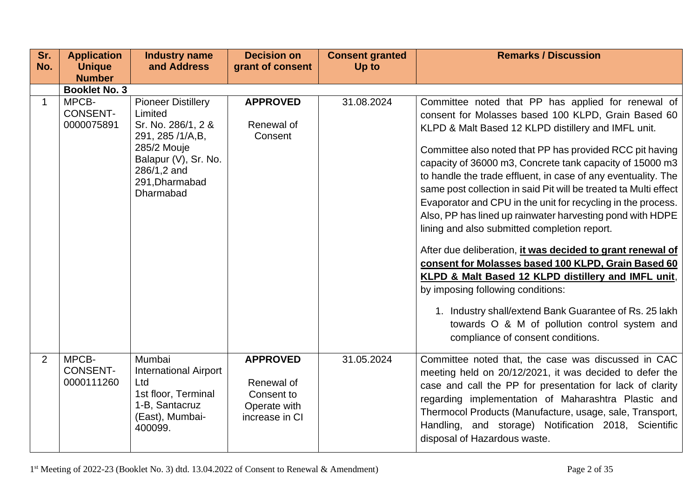| Sr.<br>No.     | <b>Application</b><br><b>Unique</b><br><b>Number</b> | <b>Industry name</b><br>and Address                                                                                                                                 | <b>Decision on</b><br>grant of consent                                        | <b>Consent granted</b><br>Up to | <b>Remarks / Discussion</b>                                                                                                                                                                                                                                                                                                                                                                                                                                                                                                                                                                                                                                                                                                                                                                                                                                                                                                                                                 |
|----------------|------------------------------------------------------|---------------------------------------------------------------------------------------------------------------------------------------------------------------------|-------------------------------------------------------------------------------|---------------------------------|-----------------------------------------------------------------------------------------------------------------------------------------------------------------------------------------------------------------------------------------------------------------------------------------------------------------------------------------------------------------------------------------------------------------------------------------------------------------------------------------------------------------------------------------------------------------------------------------------------------------------------------------------------------------------------------------------------------------------------------------------------------------------------------------------------------------------------------------------------------------------------------------------------------------------------------------------------------------------------|
|                | <b>Booklet No. 3</b>                                 |                                                                                                                                                                     |                                                                               |                                 |                                                                                                                                                                                                                                                                                                                                                                                                                                                                                                                                                                                                                                                                                                                                                                                                                                                                                                                                                                             |
| $\mathbf 1$    | MPCB-<br><b>CONSENT-</b><br>0000075891               | <b>Pioneer Distillery</b><br>Limited<br>Sr. No. 286/1, 2 &<br>291, 285 /1/A,B,<br>285/2 Mouje<br>Balapur (V), Sr. No.<br>286/1,2 and<br>291, Dharmabad<br>Dharmabad | <b>APPROVED</b><br>Renewal of<br>Consent                                      | 31.08.2024                      | Committee noted that PP has applied for renewal of<br>consent for Molasses based 100 KLPD, Grain Based 60<br>KLPD & Malt Based 12 KLPD distillery and IMFL unit.<br>Committee also noted that PP has provided RCC pit having<br>capacity of 36000 m3, Concrete tank capacity of 15000 m3<br>to handle the trade effluent, in case of any eventuality. The<br>same post collection in said Pit will be treated ta Multi effect<br>Evaporator and CPU in the unit for recycling in the process.<br>Also, PP has lined up rainwater harvesting pond with HDPE<br>lining and also submitted completion report.<br>After due deliberation, it was decided to grant renewal of<br>consent for Molasses based 100 KLPD, Grain Based 60<br>KLPD & Malt Based 12 KLPD distillery and IMFL unit,<br>by imposing following conditions:<br>1. Industry shall/extend Bank Guarantee of Rs. 25 lakh<br>towards O & M of pollution control system and<br>compliance of consent conditions. |
| $\overline{2}$ | MPCB-<br><b>CONSENT-</b><br>0000111260               | Mumbai<br><b>International Airport</b><br>Ltd<br>1st floor, Terminal<br>1-B, Santacruz<br>(East), Mumbai-<br>400099.                                                | <b>APPROVED</b><br>Renewal of<br>Consent to<br>Operate with<br>increase in CI | 31.05.2024                      | Committee noted that, the case was discussed in CAC<br>meeting held on 20/12/2021, it was decided to defer the<br>case and call the PP for presentation for lack of clarity<br>regarding implementation of Maharashtra Plastic and<br>Thermocol Products (Manufacture, usage, sale, Transport,<br>Handling, and storage) Notification 2018, Scientific<br>disposal of Hazardous waste.                                                                                                                                                                                                                                                                                                                                                                                                                                                                                                                                                                                      |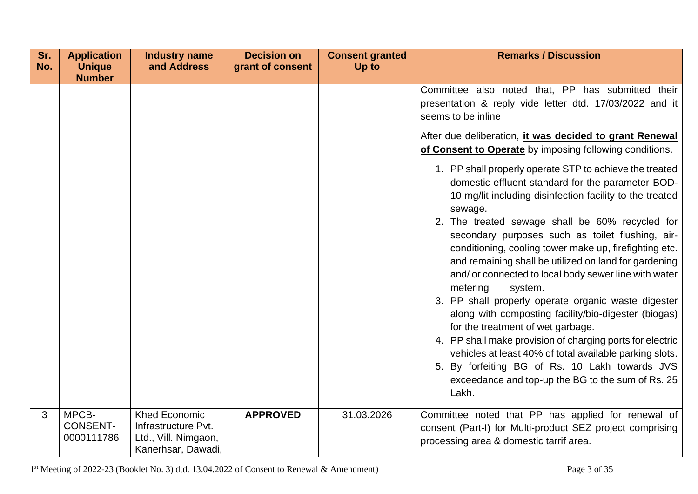| Sr.<br>No. | <b>Application</b><br><b>Unique</b>    | <b>Industry name</b><br>and Address                                                       | <b>Decision on</b><br>grant of consent | <b>Consent granted</b><br>Up to | <b>Remarks / Discussion</b>                                                                                                                                                                                                                                                                                                                                                                                                                                                                                                                                                                                                                                                                                                                                                                                                                                                                                                                                                                                                                                                                                                                           |
|------------|----------------------------------------|-------------------------------------------------------------------------------------------|----------------------------------------|---------------------------------|-------------------------------------------------------------------------------------------------------------------------------------------------------------------------------------------------------------------------------------------------------------------------------------------------------------------------------------------------------------------------------------------------------------------------------------------------------------------------------------------------------------------------------------------------------------------------------------------------------------------------------------------------------------------------------------------------------------------------------------------------------------------------------------------------------------------------------------------------------------------------------------------------------------------------------------------------------------------------------------------------------------------------------------------------------------------------------------------------------------------------------------------------------|
|            | <b>Number</b>                          |                                                                                           |                                        |                                 | Committee also noted that, PP has submitted their<br>presentation & reply vide letter dtd. 17/03/2022 and it<br>seems to be inline<br>After due deliberation, it was decided to grant Renewal<br>of Consent to Operate by imposing following conditions.<br>1. PP shall properly operate STP to achieve the treated<br>domestic effluent standard for the parameter BOD-<br>10 mg/lit including disinfection facility to the treated<br>sewage.<br>2. The treated sewage shall be 60% recycled for<br>secondary purposes such as toilet flushing, air-<br>conditioning, cooling tower make up, firefighting etc.<br>and remaining shall be utilized on land for gardening<br>and/ or connected to local body sewer line with water<br>metering<br>system.<br>3. PP shall properly operate organic waste digester<br>along with composting facility/bio-digester (biogas)<br>for the treatment of wet garbage.<br>4. PP shall make provision of charging ports for electric<br>vehicles at least 40% of total available parking slots.<br>5. By forfeiting BG of Rs. 10 Lakh towards JVS<br>exceedance and top-up the BG to the sum of Rs. 25<br>Lakh. |
| 3          | MPCB-<br><b>CONSENT-</b><br>0000111786 | <b>Khed Economic</b><br>Infrastructure Pvt.<br>Ltd., Vill. Nimgaon,<br>Kanerhsar, Dawadi, | <b>APPROVED</b>                        | 31.03.2026                      | Committee noted that PP has applied for renewal of<br>consent (Part-I) for Multi-product SEZ project comprising<br>processing area & domestic tarrif area.                                                                                                                                                                                                                                                                                                                                                                                                                                                                                                                                                                                                                                                                                                                                                                                                                                                                                                                                                                                            |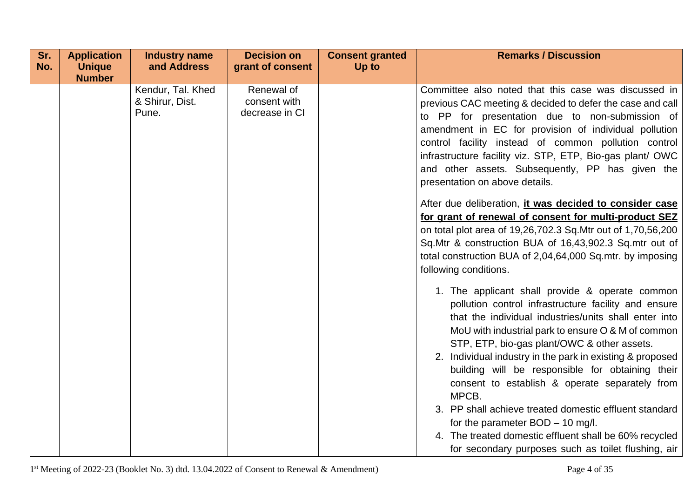| Sr. | <b>Application</b>             | <b>Industry name</b>                          | <b>Decision on</b>                           | <b>Consent granted</b> | <b>Remarks / Discussion</b>                                                                                                                                                                                                                                                                                                                                                                                                                                                                                                                                                                                                                                                                                                                                                  |
|-----|--------------------------------|-----------------------------------------------|----------------------------------------------|------------------------|------------------------------------------------------------------------------------------------------------------------------------------------------------------------------------------------------------------------------------------------------------------------------------------------------------------------------------------------------------------------------------------------------------------------------------------------------------------------------------------------------------------------------------------------------------------------------------------------------------------------------------------------------------------------------------------------------------------------------------------------------------------------------|
| No. | <b>Unique</b><br><b>Number</b> | and Address                                   | grant of consent                             | Up to                  |                                                                                                                                                                                                                                                                                                                                                                                                                                                                                                                                                                                                                                                                                                                                                                              |
|     |                                | Kendur, Tal. Khed<br>& Shirur, Dist.<br>Pune. | Renewal of<br>consent with<br>decrease in CI |                        | Committee also noted that this case was discussed in<br>previous CAC meeting & decided to defer the case and call<br>to PP for presentation due to non-submission of<br>amendment in EC for provision of individual pollution<br>control facility instead of common pollution control<br>infrastructure facility viz. STP, ETP, Bio-gas plant/ OWC<br>and other assets. Subsequently, PP has given the<br>presentation on above details.<br>After due deliberation, it was decided to consider case<br>for grant of renewal of consent for multi-product SEZ<br>on total plot area of 19,26,702.3 Sq. Mtr out of 1,70,56,200<br>Sq.Mtr & construction BUA of 16,43,902.3 Sq.mtr out of<br>total construction BUA of 2,04,64,000 Sq.mtr. by imposing<br>following conditions. |
|     |                                |                                               |                                              |                        | 1. The applicant shall provide & operate common<br>pollution control infrastructure facility and ensure<br>that the individual industries/units shall enter into<br>MoU with industrial park to ensure O & M of common<br>STP, ETP, bio-gas plant/OWC & other assets.<br>2. Individual industry in the park in existing & proposed<br>building will be responsible for obtaining their<br>consent to establish & operate separately from<br>MPCB.<br>3. PP shall achieve treated domestic effluent standard<br>for the parameter $BOD - 10$ mg/l.<br>4. The treated domestic effluent shall be 60% recycled<br>for secondary purposes such as toilet flushing, air                                                                                                           |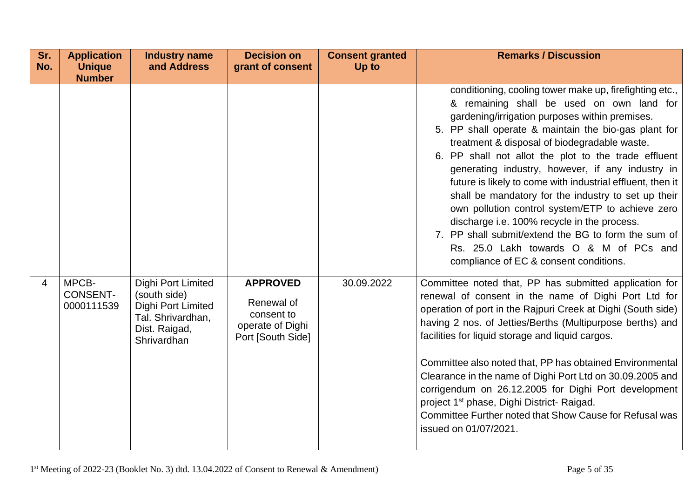| Sr.<br>No. | <b>Application</b><br><b>Unique</b>    | <b>Industry name</b><br>and Address                                                                           | <b>Decision on</b><br>grant of consent                                               | <b>Consent granted</b><br>Up to | <b>Remarks / Discussion</b>                                                                                                                                                                                                                                                                                                                                                                                                                                                                                                                                                                                                                                                                                                                   |
|------------|----------------------------------------|---------------------------------------------------------------------------------------------------------------|--------------------------------------------------------------------------------------|---------------------------------|-----------------------------------------------------------------------------------------------------------------------------------------------------------------------------------------------------------------------------------------------------------------------------------------------------------------------------------------------------------------------------------------------------------------------------------------------------------------------------------------------------------------------------------------------------------------------------------------------------------------------------------------------------------------------------------------------------------------------------------------------|
|            | <b>Number</b>                          |                                                                                                               |                                                                                      |                                 | conditioning, cooling tower make up, firefighting etc.,<br>& remaining shall be used on own land for<br>gardening/irrigation purposes within premises.<br>5. PP shall operate & maintain the bio-gas plant for<br>treatment & disposal of biodegradable waste.<br>6. PP shall not allot the plot to the trade effluent<br>generating industry, however, if any industry in<br>future is likely to come with industrial effluent, then it<br>shall be mandatory for the industry to set up their<br>own pollution control system/ETP to achieve zero<br>discharge i.e. 100% recycle in the process.<br>7. PP shall submit/extend the BG to form the sum of<br>Rs. 25.0 Lakh towards O & M of PCs and<br>compliance of EC & consent conditions. |
| 4          | MPCB-<br><b>CONSENT-</b><br>0000111539 | Dighi Port Limited<br>(south side)<br>Dighi Port Limited<br>Tal. Shrivardhan,<br>Dist. Raigad,<br>Shrivardhan | <b>APPROVED</b><br>Renewal of<br>consent to<br>operate of Dighi<br>Port [South Side] | 30.09.2022                      | Committee noted that, PP has submitted application for<br>renewal of consent in the name of Dighi Port Ltd for<br>operation of port in the Raipuri Creek at Dighi (South side)<br>having 2 nos. of Jetties/Berths (Multipurpose berths) and<br>facilities for liquid storage and liquid cargos.<br>Committee also noted that, PP has obtained Environmental<br>Clearance in the name of Dighi Port Ltd on 30.09.2005 and<br>corrigendum on 26.12.2005 for Dighi Port development<br>project 1 <sup>st</sup> phase, Dighi District- Raigad.<br>Committee Further noted that Show Cause for Refusal was<br>issued on 01/07/2021.                                                                                                                |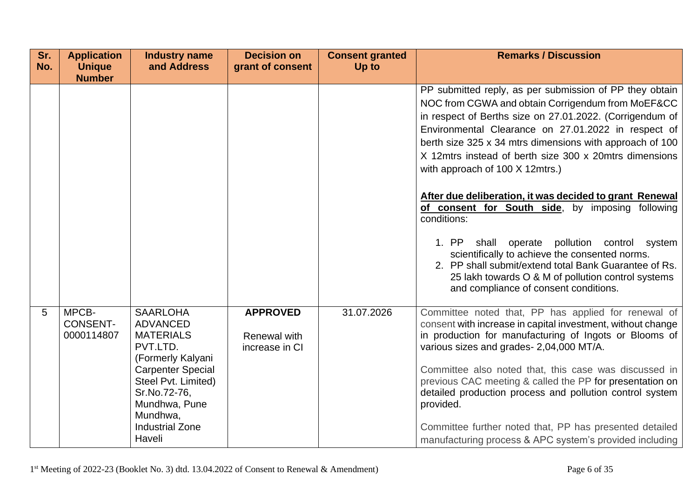| Sr.<br>No. | <b>Application</b><br><b>Unique</b>    | <b>Industry name</b><br>and Address                                                                                                        | <b>Decision on</b><br>grant of consent            | <b>Consent granted</b><br>Up to | <b>Remarks / Discussion</b>                                                                                                                                                                                                                                                                                                                                                                                                                                                                                            |
|------------|----------------------------------------|--------------------------------------------------------------------------------------------------------------------------------------------|---------------------------------------------------|---------------------------------|------------------------------------------------------------------------------------------------------------------------------------------------------------------------------------------------------------------------------------------------------------------------------------------------------------------------------------------------------------------------------------------------------------------------------------------------------------------------------------------------------------------------|
|            | <b>Number</b>                          |                                                                                                                                            |                                                   |                                 |                                                                                                                                                                                                                                                                                                                                                                                                                                                                                                                        |
|            |                                        |                                                                                                                                            |                                                   |                                 | PP submitted reply, as per submission of PP they obtain<br>NOC from CGWA and obtain Corrigendum from MoEF&CC<br>in respect of Berths size on 27.01.2022. (Corrigendum of<br>Environmental Clearance on 27.01.2022 in respect of<br>berth size 325 x 34 mtrs dimensions with approach of 100<br>X 12mtrs instead of berth size 300 x 20mtrs dimensions<br>with approach of 100 X 12mtrs.)<br>After due deliberation, it was decided to grant Renewal<br>of consent for South side, by imposing following<br>conditions: |
|            |                                        |                                                                                                                                            |                                                   |                                 | 1. PP<br>operate pollution control system<br>shall<br>scientifically to achieve the consented norms.<br>2. PP shall submit/extend total Bank Guarantee of Rs.<br>25 lakh towards O & M of pollution control systems<br>and compliance of consent conditions.                                                                                                                                                                                                                                                           |
| 5          | MPCB-<br><b>CONSENT-</b><br>0000114807 | <b>SAARLOHA</b><br><b>ADVANCED</b><br><b>MATERIALS</b><br>PVT.LTD.<br>(Formerly Kalyani<br><b>Carpenter Special</b><br>Steel Pvt. Limited) | <b>APPROVED</b><br>Renewal with<br>increase in CI | 31.07.2026                      | Committee noted that, PP has applied for renewal of<br>consent with increase in capital investment, without change<br>in production for manufacturing of Ingots or Blooms of<br>various sizes and grades- 2,04,000 MT/A.<br>Committee also noted that, this case was discussed in<br>previous CAC meeting & called the PP for presentation on                                                                                                                                                                          |
|            |                                        | Sr.No.72-76,<br>Mundhwa, Pune<br>Mundhwa,<br><b>Industrial Zone</b><br>Haveli                                                              |                                                   |                                 | detailed production process and pollution control system<br>provided.<br>Committee further noted that, PP has presented detailed<br>manufacturing process & APC system's provided including                                                                                                                                                                                                                                                                                                                            |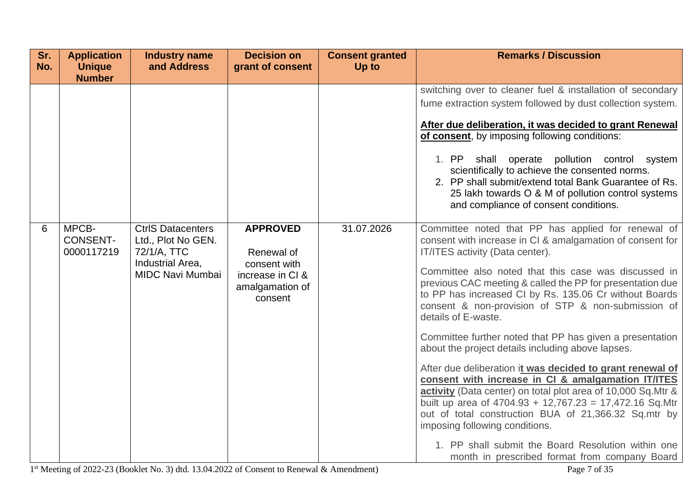| Sr.<br>No. | <b>Application</b><br><b>Unique</b><br><b>Number</b> | <b>Industry name</b><br>and Address                                                                          | <b>Decision on</b><br>grant of consent                                                          | <b>Consent granted</b><br>Up to | <b>Remarks / Discussion</b>                                                                                                                                                                                                                                                                                                                                                                                                                                                                                                                                                                                                                                                                                                                                                                                                                                                                                                                                                     |  |  |  |                                                                                                                                                                                                                                                           |
|------------|------------------------------------------------------|--------------------------------------------------------------------------------------------------------------|-------------------------------------------------------------------------------------------------|---------------------------------|---------------------------------------------------------------------------------------------------------------------------------------------------------------------------------------------------------------------------------------------------------------------------------------------------------------------------------------------------------------------------------------------------------------------------------------------------------------------------------------------------------------------------------------------------------------------------------------------------------------------------------------------------------------------------------------------------------------------------------------------------------------------------------------------------------------------------------------------------------------------------------------------------------------------------------------------------------------------------------|--|--|--|-----------------------------------------------------------------------------------------------------------------------------------------------------------------------------------------------------------------------------------------------------------|
|            |                                                      |                                                                                                              |                                                                                                 |                                 | switching over to cleaner fuel & installation of secondary<br>fume extraction system followed by dust collection system.<br>After due deliberation, it was decided to grant Renewal<br>of consent, by imposing following conditions:                                                                                                                                                                                                                                                                                                                                                                                                                                                                                                                                                                                                                                                                                                                                            |  |  |  |                                                                                                                                                                                                                                                           |
|            |                                                      |                                                                                                              |                                                                                                 |                                 |                                                                                                                                                                                                                                                                                                                                                                                                                                                                                                                                                                                                                                                                                                                                                                                                                                                                                                                                                                                 |  |  |  | 1. PP<br>shall operate pollution control system<br>scientifically to achieve the consented norms.<br>2. PP shall submit/extend total Bank Guarantee of Rs.<br>25 lakh towards O & M of pollution control systems<br>and compliance of consent conditions. |
| 6          | MPCB-<br><b>CONSENT-</b><br>0000117219               | <b>CtrlS Datacenters</b><br>Ltd., Plot No GEN.<br>72/1/A, TTC<br>Industrial Area,<br><b>MIDC Navi Mumbai</b> | <b>APPROVED</b><br>Renewal of<br>consent with<br>increase in CI &<br>amalgamation of<br>consent | 31.07.2026                      | Committee noted that PP has applied for renewal of<br>consent with increase in CI & amalgamation of consent for<br>IT/ITES activity (Data center).<br>Committee also noted that this case was discussed in<br>previous CAC meeting & called the PP for presentation due<br>to PP has increased CI by Rs. 135.06 Cr without Boards<br>consent & non-provision of STP & non-submission of<br>details of E-waste.<br>Committee further noted that PP has given a presentation<br>about the project details including above lapses.<br>After due deliberation it was decided to grant renewal of<br>consent with increase in CI & amalgamation IT/ITES<br>activity (Data center) on total plot area of 10,000 Sq. Mtr &<br>built up area of 4704.93 + 12,767.23 = 17,472.16 Sq.Mtr<br>out of total construction BUA of 21,366.32 Sq.mtr by<br>imposing following conditions.<br>1. PP shall submit the Board Resolution within one<br>month in prescribed format from company Board |  |  |  |                                                                                                                                                                                                                                                           |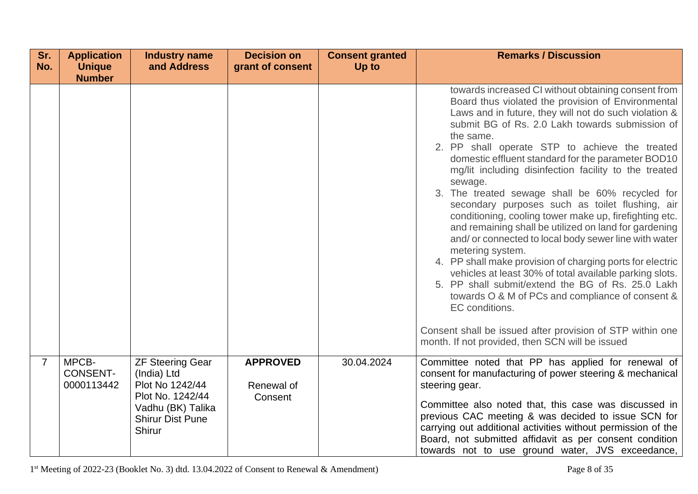| Sr.<br>No.     | <b>Application</b><br><b>Unique</b><br><b>Number</b> | <b>Industry name</b><br>and Address                                                                                                            | <b>Decision on</b><br>grant of consent   | <b>Consent granted</b><br>Up to | <b>Remarks / Discussion</b>                                                                                                                                                                                                                                                                                                                                                                                                                                                                                                                                                                                                                                                                                                                                                                                                                                                                                                                                                                                                                                                            |
|----------------|------------------------------------------------------|------------------------------------------------------------------------------------------------------------------------------------------------|------------------------------------------|---------------------------------|----------------------------------------------------------------------------------------------------------------------------------------------------------------------------------------------------------------------------------------------------------------------------------------------------------------------------------------------------------------------------------------------------------------------------------------------------------------------------------------------------------------------------------------------------------------------------------------------------------------------------------------------------------------------------------------------------------------------------------------------------------------------------------------------------------------------------------------------------------------------------------------------------------------------------------------------------------------------------------------------------------------------------------------------------------------------------------------|
|                |                                                      |                                                                                                                                                |                                          |                                 | towards increased CI without obtaining consent from<br>Board thus violated the provision of Environmental<br>Laws and in future, they will not do such violation &<br>submit BG of Rs. 2.0 Lakh towards submission of<br>the same.<br>2. PP shall operate STP to achieve the treated<br>domestic effluent standard for the parameter BOD10<br>mg/lit including disinfection facility to the treated<br>sewage.<br>3. The treated sewage shall be 60% recycled for<br>secondary purposes such as toilet flushing, air<br>conditioning, cooling tower make up, firefighting etc.<br>and remaining shall be utilized on land for gardening<br>and/or connected to local body sewer line with water<br>metering system.<br>4. PP shall make provision of charging ports for electric<br>vehicles at least 30% of total available parking slots.<br>5. PP shall submit/extend the BG of Rs. 25.0 Lakh<br>towards O & M of PCs and compliance of consent &<br>EC conditions.<br>Consent shall be issued after provision of STP within one<br>month. If not provided, then SCN will be issued |
| $\overline{7}$ | MPCB-<br><b>CONSENT-</b><br>0000113442               | <b>ZF Steering Gear</b><br>(India) Ltd<br>Plot No 1242/44<br>Plot No. 1242/44<br>Vadhu (BK) Talika<br><b>Shirur Dist Pune</b><br><b>Shirur</b> | <b>APPROVED</b><br>Renewal of<br>Consent | 30.04.2024                      | Committee noted that PP has applied for renewal of<br>consent for manufacturing of power steering & mechanical<br>steering gear.<br>Committee also noted that, this case was discussed in<br>previous CAC meeting & was decided to issue SCN for<br>carrying out additional activities without permission of the<br>Board, not submitted affidavit as per consent condition<br>towards not to use ground water, JVS exceedance,                                                                                                                                                                                                                                                                                                                                                                                                                                                                                                                                                                                                                                                        |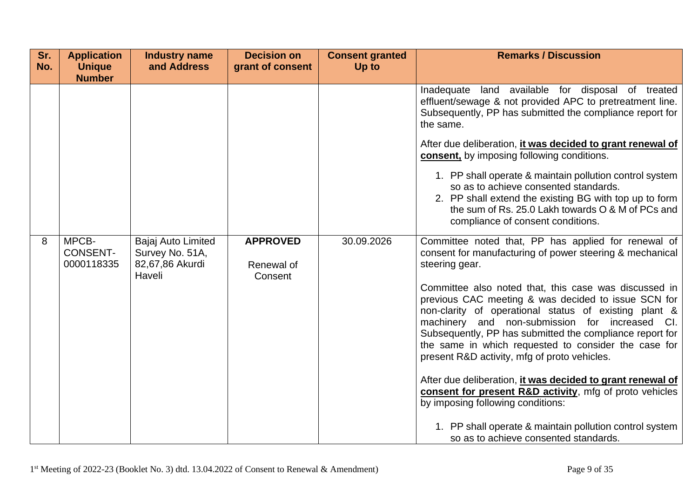| Sr.<br>No. | <b>Application</b><br><b>Unique</b><br><b>Number</b> | <b>Industry name</b><br>and Address                                | <b>Decision on</b><br>grant of consent   | <b>Consent granted</b><br>Up to | <b>Remarks / Discussion</b>                                                                                                                                                                                                                                                                                                                                                                 |
|------------|------------------------------------------------------|--------------------------------------------------------------------|------------------------------------------|---------------------------------|---------------------------------------------------------------------------------------------------------------------------------------------------------------------------------------------------------------------------------------------------------------------------------------------------------------------------------------------------------------------------------------------|
|            |                                                      |                                                                    |                                          |                                 | Inadequate land available for disposal of treated<br>effluent/sewage & not provided APC to pretreatment line.<br>Subsequently, PP has submitted the compliance report for<br>the same.                                                                                                                                                                                                      |
|            |                                                      |                                                                    |                                          |                                 | After due deliberation, it was decided to grant renewal of<br>consent, by imposing following conditions.                                                                                                                                                                                                                                                                                    |
|            |                                                      |                                                                    |                                          |                                 | 1. PP shall operate & maintain pollution control system<br>so as to achieve consented standards.<br>2. PP shall extend the existing BG with top up to form<br>the sum of Rs. 25.0 Lakh towards O & M of PCs and<br>compliance of consent conditions.                                                                                                                                        |
| 8          | MPCB-<br><b>CONSENT-</b><br>0000118335               | Bajaj Auto Limited<br>Survey No. 51A,<br>82,67,86 Akurdi<br>Haveli | <b>APPROVED</b><br>Renewal of<br>Consent | 30.09.2026                      | Committee noted that, PP has applied for renewal of<br>consent for manufacturing of power steering & mechanical<br>steering gear.                                                                                                                                                                                                                                                           |
|            |                                                      |                                                                    |                                          |                                 | Committee also noted that, this case was discussed in<br>previous CAC meeting & was decided to issue SCN for<br>non-clarity of operational status of existing plant &<br>machinery and non-submission for increased CI.<br>Subsequently, PP has submitted the compliance report for<br>the same in which requested to consider the case for<br>present R&D activity, mfg of proto vehicles. |
|            |                                                      |                                                                    |                                          |                                 | After due deliberation, it was decided to grant renewal of<br>consent for present R&D activity, mfg of proto vehicles<br>by imposing following conditions:                                                                                                                                                                                                                                  |
|            |                                                      |                                                                    |                                          |                                 | 1. PP shall operate & maintain pollution control system<br>so as to achieve consented standards.                                                                                                                                                                                                                                                                                            |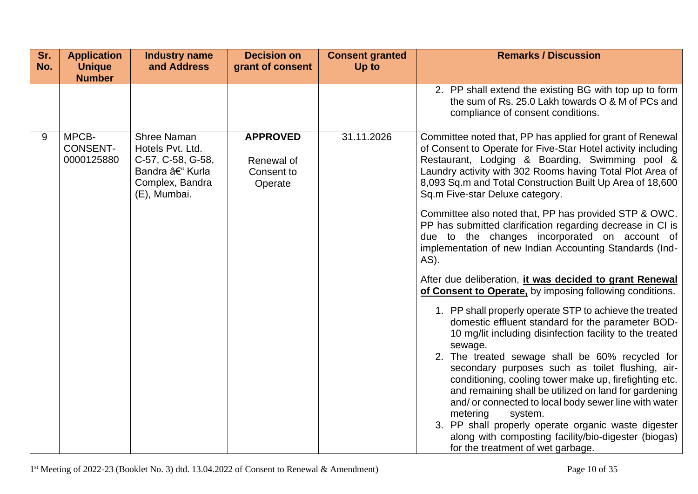| Sr.<br>No. | <b>Application</b><br><b>Unique</b><br><b>Number</b> | <b>Industry name</b><br>and Address                                                                              | <b>Decision on</b><br>grant of consent                 | <b>Consent granted</b><br>Up to | <b>Remarks / Discussion</b>                                                                                                                                                                                                                                                                                                                                                                                                                                                                                                                                                                                  |
|------------|------------------------------------------------------|------------------------------------------------------------------------------------------------------------------|--------------------------------------------------------|---------------------------------|--------------------------------------------------------------------------------------------------------------------------------------------------------------------------------------------------------------------------------------------------------------------------------------------------------------------------------------------------------------------------------------------------------------------------------------------------------------------------------------------------------------------------------------------------------------------------------------------------------------|
|            |                                                      |                                                                                                                  |                                                        |                                 | 2. PP shall extend the existing BG with top up to form<br>the sum of Rs. 25.0 Lakh towards O & M of PCs and<br>compliance of consent conditions.                                                                                                                                                                                                                                                                                                                                                                                                                                                             |
| 9          | MPCB-<br><b>CONSENT-</b><br>0000125880               | <b>Shree Naman</b><br>Hotels Pvt. Ltd.<br>C-57, C-58, G-58,<br>Bandra – Kurla<br>Complex, Bandra<br>(E), Mumbai. | <b>APPROVED</b><br>Renewal of<br>Consent to<br>Operate | 31.11.2026                      | Committee noted that, PP has applied for grant of Renewal<br>of Consent to Operate for Five-Star Hotel activity including<br>Restaurant, Lodging & Boarding, Swimming pool &<br>Laundry activity with 302 Rooms having Total Plot Area of<br>8,093 Sq.m and Total Construction Built Up Area of 18,600<br>Sq.m Five-star Deluxe category.                                                                                                                                                                                                                                                                    |
|            |                                                      |                                                                                                                  |                                                        |                                 | Committee also noted that, PP has provided STP & OWC.<br>PP has submitted clarification regarding decrease in CI is<br>due to the changes incorporated on account of<br>implementation of new Indian Accounting Standards (Ind-<br>AS).                                                                                                                                                                                                                                                                                                                                                                      |
|            |                                                      |                                                                                                                  |                                                        |                                 | After due deliberation, it was decided to grant Renewal<br>of Consent to Operate, by imposing following conditions.                                                                                                                                                                                                                                                                                                                                                                                                                                                                                          |
|            |                                                      |                                                                                                                  |                                                        |                                 | 1. PP shall properly operate STP to achieve the treated<br>domestic effluent standard for the parameter BOD-<br>10 mg/lit including disinfection facility to the treated<br>sewage.<br>2. The treated sewage shall be 60% recycled for<br>secondary purposes such as toilet flushing, air-<br>conditioning, cooling tower make up, firefighting etc.<br>and remaining shall be utilized on land for gardening<br>and/ or connected to local body sewer line with water<br>metering<br>system.<br>3. PP shall properly operate organic waste digester<br>along with composting facility/bio-digester (biogas) |
|            |                                                      |                                                                                                                  |                                                        |                                 | for the treatment of wet garbage.                                                                                                                                                                                                                                                                                                                                                                                                                                                                                                                                                                            |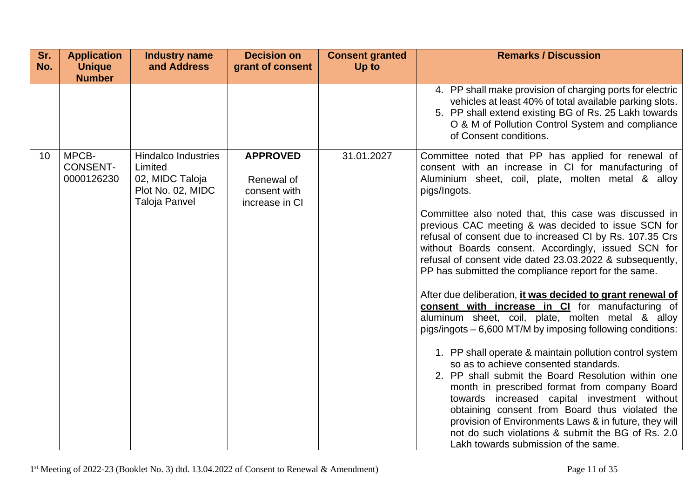| Sr.<br>No.      | <b>Application</b><br><b>Unique</b><br><b>Number</b> | <b>Industry name</b><br>and Address                                                            | <b>Decision on</b><br>grant of consent                          | <b>Consent granted</b><br>Up to | <b>Remarks / Discussion</b>                                                                                                                                                                                                                                                                                                                                                                                                                                                                                                                                                                                                                                                                                                                                                                                                                                                                                                                                                                                                                                                                                                                                                                                                                    |
|-----------------|------------------------------------------------------|------------------------------------------------------------------------------------------------|-----------------------------------------------------------------|---------------------------------|------------------------------------------------------------------------------------------------------------------------------------------------------------------------------------------------------------------------------------------------------------------------------------------------------------------------------------------------------------------------------------------------------------------------------------------------------------------------------------------------------------------------------------------------------------------------------------------------------------------------------------------------------------------------------------------------------------------------------------------------------------------------------------------------------------------------------------------------------------------------------------------------------------------------------------------------------------------------------------------------------------------------------------------------------------------------------------------------------------------------------------------------------------------------------------------------------------------------------------------------|
|                 |                                                      |                                                                                                |                                                                 |                                 | 4. PP shall make provision of charging ports for electric<br>vehicles at least 40% of total available parking slots.<br>5. PP shall extend existing BG of Rs. 25 Lakh towards<br>O & M of Pollution Control System and compliance<br>of Consent conditions.                                                                                                                                                                                                                                                                                                                                                                                                                                                                                                                                                                                                                                                                                                                                                                                                                                                                                                                                                                                    |
| 10 <sup>°</sup> | MPCB-<br><b>CONSENT-</b><br>0000126230               | <b>Hindalco Industries</b><br>Limited<br>02, MIDC Taloja<br>Plot No. 02, MIDC<br>Taloja Panvel | <b>APPROVED</b><br>Renewal of<br>consent with<br>increase in CI | 31.01.2027                      | Committee noted that PP has applied for renewal of<br>consent with an increase in CI for manufacturing of<br>Aluminium sheet, coil, plate, molten metal & alloy<br>pigs/Ingots.<br>Committee also noted that, this case was discussed in<br>previous CAC meeting & was decided to issue SCN for<br>refusal of consent due to increased CI by Rs. 107.35 Crs<br>without Boards consent. Accordingly, issued SCN for<br>refusal of consent vide dated 23.03.2022 & subsequently,<br>PP has submitted the compliance report for the same.<br>After due deliberation, it was decided to grant renewal of<br>consent with increase in CI for manufacturing of<br>aluminum sheet, coil, plate, molten metal & alloy<br>pigs/ingots - 6,600 MT/M by imposing following conditions:<br>1. PP shall operate & maintain pollution control system<br>so as to achieve consented standards.<br>2. PP shall submit the Board Resolution within one<br>month in prescribed format from company Board<br>towards increased capital investment without<br>obtaining consent from Board thus violated the<br>provision of Environments Laws & in future, they will<br>not do such violations & submit the BG of Rs. 2.0<br>Lakh towards submission of the same. |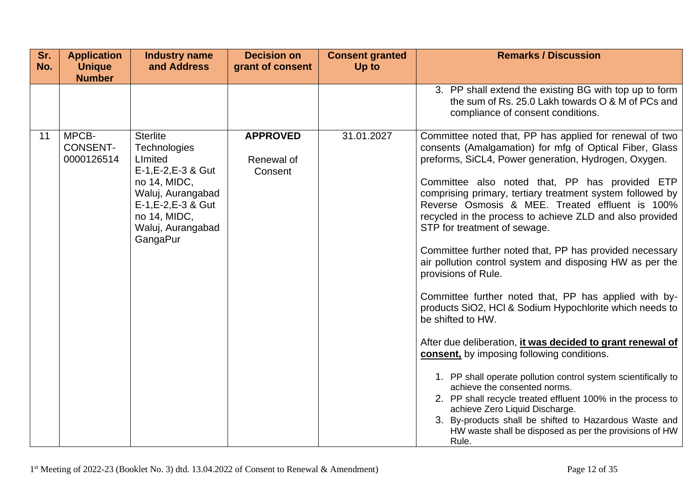| Sr.<br>No. | <b>Application</b><br><b>Unique</b><br><b>Number</b> | <b>Industry name</b><br>and Address                                                                                                                                            | <b>Decision on</b><br>grant of consent   | <b>Consent granted</b><br>Up to | <b>Remarks / Discussion</b>                                                                                                                                                                                                                                                                                                                                                                                                                                                                                                                                                                                                                                                                                                                                                                                                                                                                                                                                                                                                                                                                                                                                                 |
|------------|------------------------------------------------------|--------------------------------------------------------------------------------------------------------------------------------------------------------------------------------|------------------------------------------|---------------------------------|-----------------------------------------------------------------------------------------------------------------------------------------------------------------------------------------------------------------------------------------------------------------------------------------------------------------------------------------------------------------------------------------------------------------------------------------------------------------------------------------------------------------------------------------------------------------------------------------------------------------------------------------------------------------------------------------------------------------------------------------------------------------------------------------------------------------------------------------------------------------------------------------------------------------------------------------------------------------------------------------------------------------------------------------------------------------------------------------------------------------------------------------------------------------------------|
|            |                                                      |                                                                                                                                                                                |                                          |                                 | 3. PP shall extend the existing BG with top up to form<br>the sum of Rs. 25.0 Lakh towards O & M of PCs and<br>compliance of consent conditions.                                                                                                                                                                                                                                                                                                                                                                                                                                                                                                                                                                                                                                                                                                                                                                                                                                                                                                                                                                                                                            |
| 11         | MPCB-<br><b>CONSENT-</b><br>0000126514               | <b>Sterlite</b><br>Technologies<br>Limited<br>E-1, E-2, E-3 & Gut<br>no 14, MIDC,<br>Waluj, Aurangabad<br>E-1, E-2, E-3 & Gut<br>no 14, MIDC,<br>Waluj, Aurangabad<br>GangaPur | <b>APPROVED</b><br>Renewal of<br>Consent | 31.01.2027                      | Committee noted that, PP has applied for renewal of two<br>consents (Amalgamation) for mfg of Optical Fiber, Glass<br>preforms, SiCL4, Power generation, Hydrogen, Oxygen.<br>Committee also noted that, PP has provided ETP<br>comprising primary, tertiary treatment system followed by<br>Reverse Osmosis & MEE. Treated effluent is 100%<br>recycled in the process to achieve ZLD and also provided<br>STP for treatment of sewage.<br>Committee further noted that, PP has provided necessary<br>air pollution control system and disposing HW as per the<br>provisions of Rule.<br>Committee further noted that, PP has applied with by-<br>products SiO2, HCl & Sodium Hypochlorite which needs to<br>be shifted to HW.<br>After due deliberation, it was decided to grant renewal of<br>consent, by imposing following conditions.<br>1. PP shall operate pollution control system scientifically to<br>achieve the consented norms.<br>2. PP shall recycle treated effluent 100% in the process to<br>achieve Zero Liquid Discharge.<br>3. By-products shall be shifted to Hazardous Waste and<br>HW waste shall be disposed as per the provisions of HW<br>Rule. |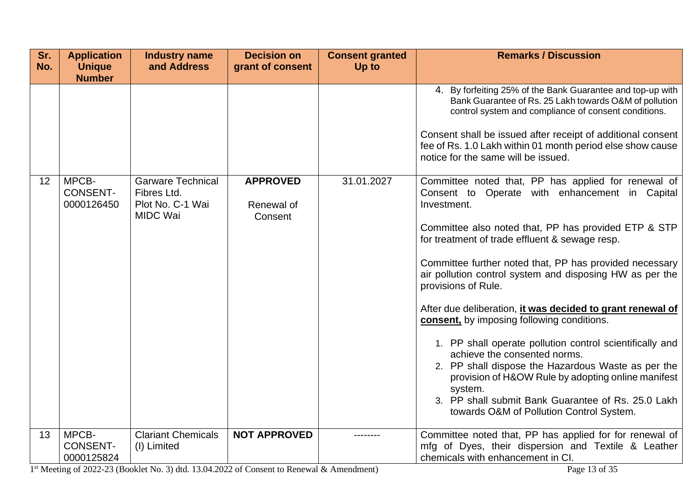| Sr.<br>No. | <b>Application</b><br><b>Unique</b><br><b>Number</b> | <b>Industry name</b><br>and Address                                            | <b>Decision on</b><br>grant of consent   | <b>Consent granted</b><br>Up to | <b>Remarks / Discussion</b>                                                                                                                                                                                                                                                                                                                                                                                                                                                                                                                                                                                                                                                                                                                                                                                          |
|------------|------------------------------------------------------|--------------------------------------------------------------------------------|------------------------------------------|---------------------------------|----------------------------------------------------------------------------------------------------------------------------------------------------------------------------------------------------------------------------------------------------------------------------------------------------------------------------------------------------------------------------------------------------------------------------------------------------------------------------------------------------------------------------------------------------------------------------------------------------------------------------------------------------------------------------------------------------------------------------------------------------------------------------------------------------------------------|
|            |                                                      |                                                                                |                                          |                                 | 4. By forfeiting 25% of the Bank Guarantee and top-up with<br>Bank Guarantee of Rs. 25 Lakh towards O&M of pollution<br>control system and compliance of consent conditions.<br>Consent shall be issued after receipt of additional consent<br>fee of Rs. 1.0 Lakh within 01 month period else show cause<br>notice for the same will be issued.                                                                                                                                                                                                                                                                                                                                                                                                                                                                     |
| 12         | MPCB-<br><b>CONSENT-</b><br>0000126450               | <b>Garware Technical</b><br>Fibres Ltd.<br>Plot No. C-1 Wai<br><b>MIDC Wai</b> | <b>APPROVED</b><br>Renewal of<br>Consent | 31.01.2027                      | Committee noted that, PP has applied for renewal of<br>Consent to Operate with enhancement in Capital<br>Investment.<br>Committee also noted that, PP has provided ETP & STP<br>for treatment of trade effluent & sewage resp.<br>Committee further noted that, PP has provided necessary<br>air pollution control system and disposing HW as per the<br>provisions of Rule.<br>After due deliberation, <i>it was decided to grant renewal of</i><br>consent, by imposing following conditions.<br>1. PP shall operate pollution control scientifically and<br>achieve the consented norms.<br>2. PP shall dispose the Hazardous Waste as per the<br>provision of H&OW Rule by adopting online manifest<br>system.<br>3. PP shall submit Bank Guarantee of Rs. 25.0 Lakh<br>towards O&M of Pollution Control System. |
| 13         | MPCB-<br><b>CONSENT-</b><br>0000125824               | <b>Clariant Chemicals</b><br>(I) Limited                                       | <b>NOT APPROVED</b>                      |                                 | Committee noted that, PP has applied for for renewal of<br>mfg of Dyes, their dispersion and Textile & Leather<br>chemicals with enhancement in CI.                                                                                                                                                                                                                                                                                                                                                                                                                                                                                                                                                                                                                                                                  |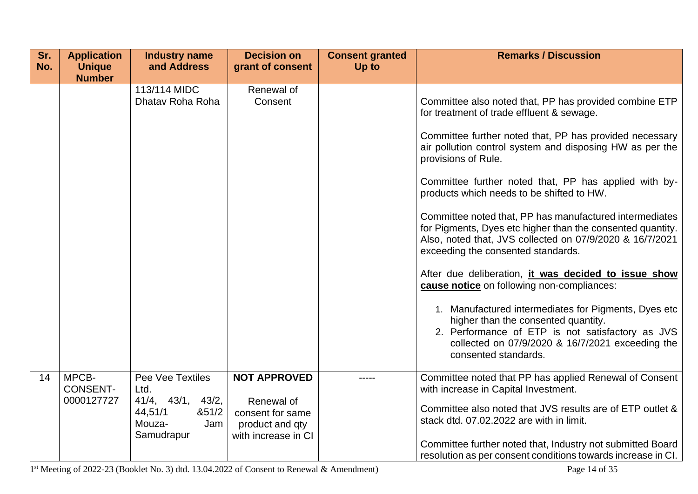| Sr.<br>No. | <b>Application</b><br><b>Unique</b><br><b>Number</b> | <b>Industry name</b><br>and Address                                                                       | <b>Decision on</b><br>grant of consent                                                          | <b>Consent granted</b><br>Up to | <b>Remarks / Discussion</b>                                                                                                                                                                                                                                                                                                                                                                                                                                                                                                                                                                                                                                                                                                                                                                                                                                                                                             |
|------------|------------------------------------------------------|-----------------------------------------------------------------------------------------------------------|-------------------------------------------------------------------------------------------------|---------------------------------|-------------------------------------------------------------------------------------------------------------------------------------------------------------------------------------------------------------------------------------------------------------------------------------------------------------------------------------------------------------------------------------------------------------------------------------------------------------------------------------------------------------------------------------------------------------------------------------------------------------------------------------------------------------------------------------------------------------------------------------------------------------------------------------------------------------------------------------------------------------------------------------------------------------------------|
|            |                                                      | 113/114 MIDC<br>Dhatav Roha Roha                                                                          | Renewal of<br>Consent                                                                           |                                 | Committee also noted that, PP has provided combine ETP<br>for treatment of trade effluent & sewage.<br>Committee further noted that, PP has provided necessary<br>air pollution control system and disposing HW as per the<br>provisions of Rule.<br>Committee further noted that, PP has applied with by-<br>products which needs to be shifted to HW.<br>Committee noted that, PP has manufactured intermediates<br>for Pigments, Dyes etc higher than the consented quantity.<br>Also, noted that, JVS collected on 07/9/2020 & 16/7/2021<br>exceeding the consented standards.<br>After due deliberation, it was decided to issue show<br>cause notice on following non-compliances:<br>1. Manufactured intermediates for Pigments, Dyes etc<br>higher than the consented quantity.<br>2. Performance of ETP is not satisfactory as JVS<br>collected on 07/9/2020 & 16/7/2021 exceeding the<br>consented standards. |
| 14         | MPCB-<br><b>CONSENT-</b><br>0000127727               | Pee Vee Textiles<br>Ltd.<br>$41/4$ , $43/1$ , $43/2$ ,<br>44,51/1<br>851/2<br>Mouza-<br>Jam<br>Samudrapur | <b>NOT APPROVED</b><br>Renewal of<br>consent for same<br>product and qty<br>with increase in CI |                                 | Committee noted that PP has applied Renewal of Consent<br>with increase in Capital Investment.<br>Committee also noted that JVS results are of ETP outlet &<br>stack dtd. 07.02.2022 are with in limit.<br>Committee further noted that, Industry not submitted Board<br>resolution as per consent conditions towards increase in CI.                                                                                                                                                                                                                                                                                                                                                                                                                                                                                                                                                                                   |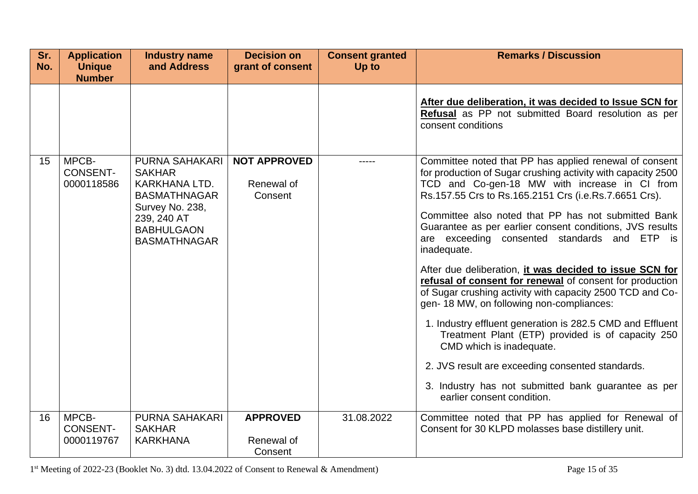| Sr.<br>No. | <b>Application</b><br><b>Unique</b><br><b>Number</b> | <b>Industry name</b><br>and Address                                                                                                                          | <b>Decision on</b><br>grant of consent       | <b>Consent granted</b><br>Up to | <b>Remarks / Discussion</b>                                                                                                                                                                                                                                                                                                                                                                                                                                                                                                                                                                                                                                                                                                                                                                                                                                                                                                               |
|------------|------------------------------------------------------|--------------------------------------------------------------------------------------------------------------------------------------------------------------|----------------------------------------------|---------------------------------|-------------------------------------------------------------------------------------------------------------------------------------------------------------------------------------------------------------------------------------------------------------------------------------------------------------------------------------------------------------------------------------------------------------------------------------------------------------------------------------------------------------------------------------------------------------------------------------------------------------------------------------------------------------------------------------------------------------------------------------------------------------------------------------------------------------------------------------------------------------------------------------------------------------------------------------------|
|            |                                                      |                                                                                                                                                              |                                              |                                 | After due deliberation, it was decided to Issue SCN for<br>Refusal as PP not submitted Board resolution as per<br>consent conditions                                                                                                                                                                                                                                                                                                                                                                                                                                                                                                                                                                                                                                                                                                                                                                                                      |
| 15         | MPCB-<br><b>CONSENT-</b><br>0000118586               | <b>PURNA SAHAKARI</b><br><b>SAKHAR</b><br>KARKHANA LTD.<br><b>BASMATHNAGAR</b><br>Survey No. 238,<br>239, 240 AT<br><b>BABHULGAON</b><br><b>BASMATHNAGAR</b> | <b>NOT APPROVED</b><br>Renewal of<br>Consent |                                 | Committee noted that PP has applied renewal of consent<br>for production of Sugar crushing activity with capacity 2500<br>TCD and Co-gen-18 MW with increase in CI from<br>Rs.157.55 Crs to Rs.165.2151 Crs (i.e.Rs.7.6651 Crs).<br>Committee also noted that PP has not submitted Bank<br>Guarantee as per earlier consent conditions, JVS results<br>are exceeding consented standards and ETP is<br>inadequate.<br>After due deliberation, it was decided to issue SCN for<br>refusal of consent for renewal of consent for production<br>of Sugar crushing activity with capacity 2500 TCD and Co-<br>gen-18 MW, on following non-compliances:<br>1. Industry effluent generation is 282.5 CMD and Effluent<br>Treatment Plant (ETP) provided is of capacity 250<br>CMD which is inadequate.<br>2. JVS result are exceeding consented standards.<br>3. Industry has not submitted bank guarantee as per<br>earlier consent condition. |
| 16         | MPCB-<br><b>CONSENT-</b><br>0000119767               | PURNA SAHAKARI<br><b>SAKHAR</b><br><b>KARKHANA</b>                                                                                                           | <b>APPROVED</b><br>Renewal of<br>Consent     | 31.08.2022                      | Committee noted that PP has applied for Renewal of<br>Consent for 30 KLPD molasses base distillery unit.                                                                                                                                                                                                                                                                                                                                                                                                                                                                                                                                                                                                                                                                                                                                                                                                                                  |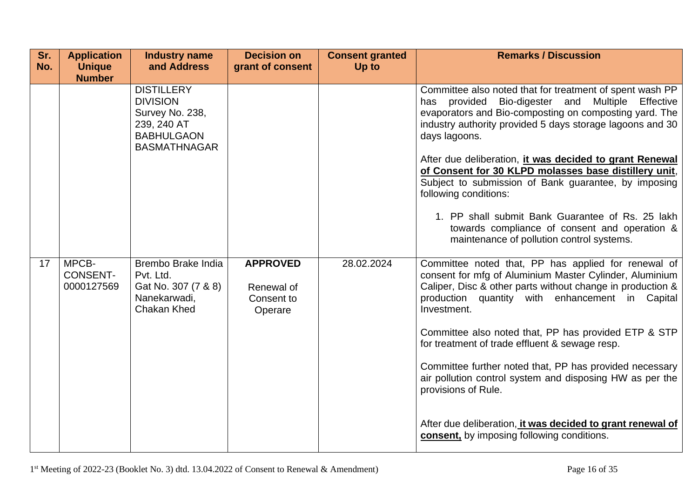| Sr.<br>No. | <b>Application</b><br><b>Unique</b>    | <b>Industry name</b><br>and Address                                                                                | <b>Decision on</b><br>grant of consent                 | <b>Consent granted</b><br>Up to | <b>Remarks / Discussion</b>                                                                                                                                                                                                                                                                                                                                                                                                                                  |
|------------|----------------------------------------|--------------------------------------------------------------------------------------------------------------------|--------------------------------------------------------|---------------------------------|--------------------------------------------------------------------------------------------------------------------------------------------------------------------------------------------------------------------------------------------------------------------------------------------------------------------------------------------------------------------------------------------------------------------------------------------------------------|
|            | <b>Number</b>                          |                                                                                                                    |                                                        |                                 |                                                                                                                                                                                                                                                                                                                                                                                                                                                              |
|            |                                        | <b>DISTILLERY</b><br><b>DIVISION</b><br>Survey No. 238,<br>239, 240 AT<br><b>BABHULGAON</b><br><b>BASMATHNAGAR</b> |                                                        |                                 | Committee also noted that for treatment of spent wash PP<br>Bio-digester and Multiple Effective<br>has provided<br>evaporators and Bio-composting on composting yard. The<br>industry authority provided 5 days storage lagoons and 30<br>days lagoons.<br>After due deliberation, it was decided to grant Renewal<br>of Consent for 30 KLPD molasses base distillery unit,<br>Subject to submission of Bank guarantee, by imposing<br>following conditions: |
|            |                                        |                                                                                                                    |                                                        |                                 | 1. PP shall submit Bank Guarantee of Rs. 25 lakh<br>towards compliance of consent and operation &<br>maintenance of pollution control systems.                                                                                                                                                                                                                                                                                                               |
| 17         | MPCB-<br><b>CONSENT-</b><br>0000127569 | Brembo Brake India<br>Pvt. Ltd.<br>Gat No. 307 (7 & 8)<br>Nanekarwadi,<br><b>Chakan Khed</b>                       | <b>APPROVED</b><br>Renewal of<br>Consent to<br>Operare | 28.02.2024                      | Committee noted that, PP has applied for renewal of<br>consent for mfg of Aluminium Master Cylinder, Aluminium<br>Caliper, Disc & other parts without change in production &<br>production quantity with enhancement in Capital<br>Investment.                                                                                                                                                                                                               |
|            |                                        |                                                                                                                    |                                                        |                                 | Committee also noted that, PP has provided ETP & STP<br>for treatment of trade effluent & sewage resp.                                                                                                                                                                                                                                                                                                                                                       |
|            |                                        |                                                                                                                    |                                                        |                                 | Committee further noted that, PP has provided necessary<br>air pollution control system and disposing HW as per the<br>provisions of Rule.                                                                                                                                                                                                                                                                                                                   |
|            |                                        |                                                                                                                    |                                                        |                                 | After due deliberation, it was decided to grant renewal of<br>consent, by imposing following conditions.                                                                                                                                                                                                                                                                                                                                                     |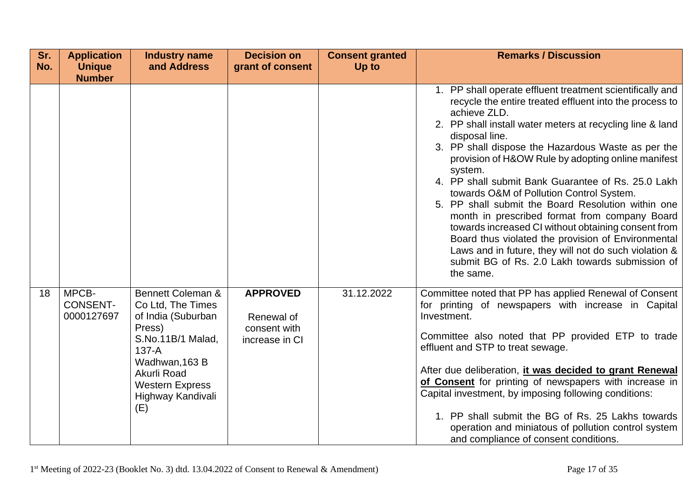| Sr.<br>No. | <b>Application</b><br><b>Unique</b><br><b>Number</b> | <b>Industry name</b><br>and Address                                                                                                                                                                      | <b>Decision on</b><br>grant of consent                          | <b>Consent granted</b><br>Up to | <b>Remarks / Discussion</b>                                                                                                                                                                                                                                                                                                                                                                                                                                                                                                                                                                                                                                                                                                                                                               |
|------------|------------------------------------------------------|----------------------------------------------------------------------------------------------------------------------------------------------------------------------------------------------------------|-----------------------------------------------------------------|---------------------------------|-------------------------------------------------------------------------------------------------------------------------------------------------------------------------------------------------------------------------------------------------------------------------------------------------------------------------------------------------------------------------------------------------------------------------------------------------------------------------------------------------------------------------------------------------------------------------------------------------------------------------------------------------------------------------------------------------------------------------------------------------------------------------------------------|
|            |                                                      |                                                                                                                                                                                                          |                                                                 |                                 | 1. PP shall operate effluent treatment scientifically and<br>recycle the entire treated effluent into the process to<br>achieve ZLD.<br>2. PP shall install water meters at recycling line & land<br>disposal line.<br>3. PP shall dispose the Hazardous Waste as per the<br>provision of H&OW Rule by adopting online manifest<br>system.<br>4. PP shall submit Bank Guarantee of Rs. 25.0 Lakh<br>towards O&M of Pollution Control System.<br>5. PP shall submit the Board Resolution within one<br>month in prescribed format from company Board<br>towards increased CI without obtaining consent from<br>Board thus violated the provision of Environmental<br>Laws and in future, they will not do such violation &<br>submit BG of Rs. 2.0 Lakh towards submission of<br>the same. |
| 18         | MPCB-<br><b>CONSENT-</b><br>0000127697               | <b>Bennett Coleman &amp;</b><br>Co Ltd, The Times<br>of India (Suburban<br>Press)<br>S.No.11B/1 Malad,<br>$137-A$<br>Wadhwan, 163 B<br>Akurli Road<br><b>Western Express</b><br>Highway Kandivali<br>(E) | <b>APPROVED</b><br>Renewal of<br>consent with<br>increase in CI | 31.12.2022                      | Committee noted that PP has applied Renewal of Consent<br>for printing of newspapers with increase in Capital<br>Investment.<br>Committee also noted that PP provided ETP to trade<br>effluent and STP to treat sewage.<br>After due deliberation, it was decided to grant Renewal<br>of Consent for printing of newspapers with increase in<br>Capital investment, by imposing following conditions:<br>1. PP shall submit the BG of Rs. 25 Lakhs towards<br>operation and miniatous of pollution control system<br>and compliance of consent conditions.                                                                                                                                                                                                                                |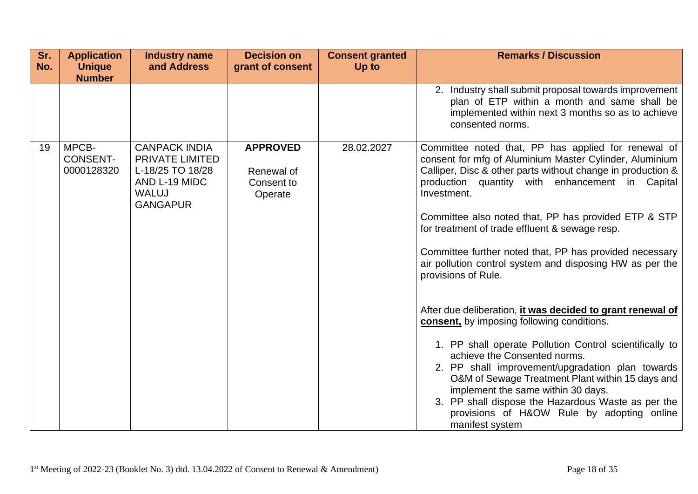| Sr.<br>No. | <b>Application</b><br><b>Unique</b><br><b>Number</b> | <b>Industry name</b><br>and Address                                                                                    | <b>Decision on</b><br>grant of consent                 | <b>Consent granted</b><br>Up to | <b>Remarks / Discussion</b>                                                                                                                                                                                                                                                                                                                                                                                                                                                                                                                                                                                                                                                                                                                                                                                                                                                                                                                                                         |
|------------|------------------------------------------------------|------------------------------------------------------------------------------------------------------------------------|--------------------------------------------------------|---------------------------------|-------------------------------------------------------------------------------------------------------------------------------------------------------------------------------------------------------------------------------------------------------------------------------------------------------------------------------------------------------------------------------------------------------------------------------------------------------------------------------------------------------------------------------------------------------------------------------------------------------------------------------------------------------------------------------------------------------------------------------------------------------------------------------------------------------------------------------------------------------------------------------------------------------------------------------------------------------------------------------------|
|            |                                                      |                                                                                                                        |                                                        |                                 | 2. Industry shall submit proposal towards improvement<br>plan of ETP within a month and same shall be<br>implemented within next 3 months so as to achieve<br>consented norms.                                                                                                                                                                                                                                                                                                                                                                                                                                                                                                                                                                                                                                                                                                                                                                                                      |
| 19         | MPCB-<br><b>CONSENT-</b><br>0000128320               | <b>CANPACK INDIA</b><br><b>PRIVATE LIMITED</b><br>L-18/25 TO 18/28<br>AND L-19 MIDC<br><b>WALUJ</b><br><b>GANGAPUR</b> | <b>APPROVED</b><br>Renewal of<br>Consent to<br>Operate | 28.02.2027                      | Committee noted that, PP has applied for renewal of<br>consent for mfg of Aluminium Master Cylinder, Aluminium<br>Calliper, Disc & other parts without change in production &<br>production quantity with enhancement in Capital<br>Investment.<br>Committee also noted that, PP has provided ETP & STP<br>for treatment of trade effluent & sewage resp.<br>Committee further noted that, PP has provided necessary<br>air pollution control system and disposing HW as per the<br>provisions of Rule.<br>After due deliberation, it was decided to grant renewal of<br>consent, by imposing following conditions.<br>1. PP shall operate Pollution Control scientifically to<br>achieve the Consented norms.<br>2. PP shall improvement/upgradation plan towards<br>O&M of Sewage Treatment Plant within 15 days and<br>implement the same within 30 days.<br>3. PP shall dispose the Hazardous Waste as per the<br>provisions of H&OW Rule by adopting online<br>manifest system |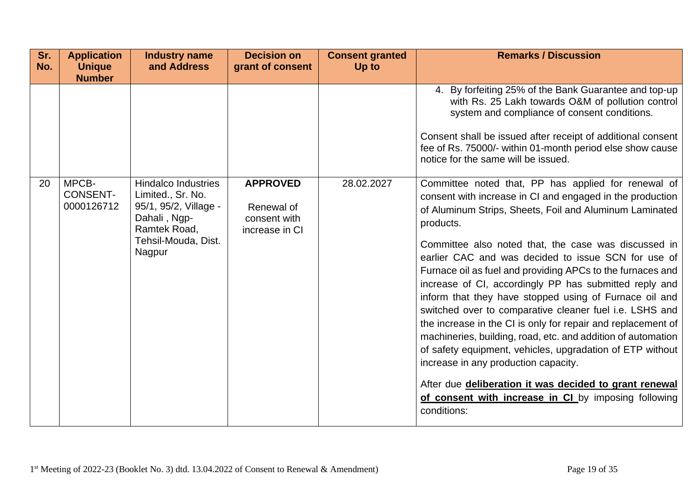| Sr.<br>No. | <b>Application</b><br><b>Unique</b><br><b>Number</b> | <b>Industry name</b><br>and Address                                                                                                       | <b>Decision on</b><br>grant of consent                          | <b>Consent granted</b><br>Up to | <b>Remarks / Discussion</b>                                                                                                                                                                                                                                                                                                                                                                                                                                                                                                                                                                                                                                                                                                                                                                                                                                                                                                                                                                                                                                                                                                                                                                                                                  |
|------------|------------------------------------------------------|-------------------------------------------------------------------------------------------------------------------------------------------|-----------------------------------------------------------------|---------------------------------|----------------------------------------------------------------------------------------------------------------------------------------------------------------------------------------------------------------------------------------------------------------------------------------------------------------------------------------------------------------------------------------------------------------------------------------------------------------------------------------------------------------------------------------------------------------------------------------------------------------------------------------------------------------------------------------------------------------------------------------------------------------------------------------------------------------------------------------------------------------------------------------------------------------------------------------------------------------------------------------------------------------------------------------------------------------------------------------------------------------------------------------------------------------------------------------------------------------------------------------------|
| 20         | MPCB-<br><b>CONSENT-</b><br>0000126712               | <b>Hindalco Industries</b><br>Limited., Sr. No.<br>95/1, 95/2, Village -<br>Dahali, Ngp-<br>Ramtek Road,<br>Tehsil-Mouda, Dist.<br>Nagpur | <b>APPROVED</b><br>Renewal of<br>consent with<br>increase in CI | 28.02.2027                      | 4. By forfeiting 25% of the Bank Guarantee and top-up<br>with Rs. 25 Lakh towards O&M of pollution control<br>system and compliance of consent conditions.<br>Consent shall be issued after receipt of additional consent<br>fee of Rs. 75000/- within 01-month period else show cause<br>notice for the same will be issued.<br>Committee noted that, PP has applied for renewal of<br>consent with increase in CI and engaged in the production<br>of Aluminum Strips, Sheets, Foil and Aluminum Laminated<br>products.<br>Committee also noted that, the case was discussed in<br>earlier CAC and was decided to issue SCN for use of<br>Furnace oil as fuel and providing APCs to the furnaces and<br>increase of CI, accordingly PP has submitted reply and<br>inform that they have stopped using of Furnace oil and<br>switched over to comparative cleaner fuel i.e. LSHS and<br>the increase in the CI is only for repair and replacement of<br>machineries, building, road, etc. and addition of automation<br>of safety equipment, vehicles, upgradation of ETP without<br>increase in any production capacity.<br>After due deliberation it was decided to grant renewal<br>of consent with increase in CI by imposing following |
|            |                                                      |                                                                                                                                           |                                                                 |                                 | conditions:                                                                                                                                                                                                                                                                                                                                                                                                                                                                                                                                                                                                                                                                                                                                                                                                                                                                                                                                                                                                                                                                                                                                                                                                                                  |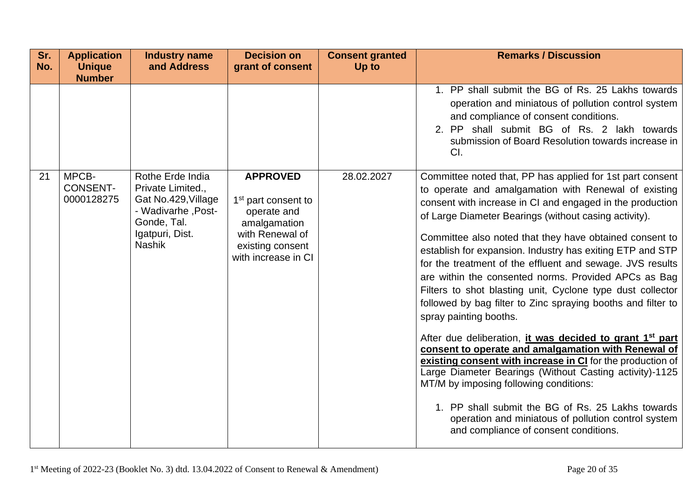| Sr.<br>No. | <b>Application</b><br><b>Unique</b> | <b>Industry name</b><br>and Address                                                                               | <b>Decision on</b><br>grant of consent                                                                                       | <b>Consent granted</b><br>Up to | <b>Remarks / Discussion</b>                                                                                                                                                                                                                                                                                                                                                                                                                                                                                                                                                                                                                                                                                                                                                                                                                                                                                                                                                                                                            |
|------------|-------------------------------------|-------------------------------------------------------------------------------------------------------------------|------------------------------------------------------------------------------------------------------------------------------|---------------------------------|----------------------------------------------------------------------------------------------------------------------------------------------------------------------------------------------------------------------------------------------------------------------------------------------------------------------------------------------------------------------------------------------------------------------------------------------------------------------------------------------------------------------------------------------------------------------------------------------------------------------------------------------------------------------------------------------------------------------------------------------------------------------------------------------------------------------------------------------------------------------------------------------------------------------------------------------------------------------------------------------------------------------------------------|
| 21         | <b>Number</b><br>MPCB-              | Rothe Erde India                                                                                                  | <b>APPROVED</b>                                                                                                              | 28.02.2027                      | 1. PP shall submit the BG of Rs. 25 Lakhs towards<br>operation and miniatous of pollution control system<br>and compliance of consent conditions.<br>2. PP shall submit BG of Rs. 2 lakh towards<br>submission of Board Resolution towards increase in<br>CI.<br>Committee noted that, PP has applied for 1st part consent                                                                                                                                                                                                                                                                                                                                                                                                                                                                                                                                                                                                                                                                                                             |
|            | <b>CONSENT-</b><br>0000128275       | Private Limited.,<br>Gat No.429, Village<br>- Wadivarhe, Post-<br>Gonde, Tal.<br>Igatpuri, Dist.<br><b>Nashik</b> | 1 <sup>st</sup> part consent to<br>operate and<br>amalgamation<br>with Renewal of<br>existing consent<br>with increase in CI |                                 | to operate and amalgamation with Renewal of existing<br>consent with increase in CI and engaged in the production<br>of Large Diameter Bearings (without casing activity).<br>Committee also noted that they have obtained consent to<br>establish for expansion. Industry has exiting ETP and STP<br>for the treatment of the effluent and sewage. JVS results<br>are within the consented norms. Provided APCs as Bag<br>Filters to shot blasting unit, Cyclone type dust collector<br>followed by bag filter to Zinc spraying booths and filter to<br>spray painting booths.<br>After due deliberation, it was decided to grant 1 <sup>st</sup> part<br>consent to operate and amalgamation with Renewal of<br>existing consent with increase in CI for the production of<br>Large Diameter Bearings (Without Casting activity)-1125<br>MT/M by imposing following conditions:<br>1. PP shall submit the BG of Rs. 25 Lakhs towards<br>operation and miniatous of pollution control system<br>and compliance of consent conditions. |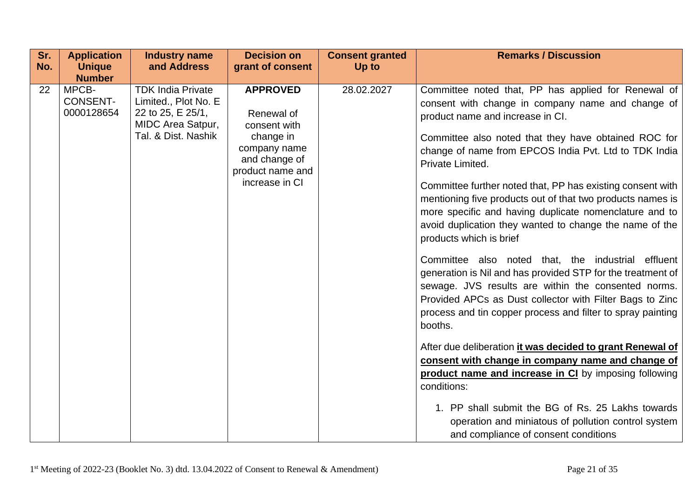| Sr. | <b>Application</b>                                      | <b>Industry name</b>                                                                                              | <b>Decision on</b>                                                                                                                | <b>Consent granted</b> | <b>Remarks / Discussion</b>                                                                                                                                                                                                                                                                                                                                                                                                                                                                                                                                                                                                                                                                                                                                                                                                                                                                                                                                                                                                                                                                                                                                                                                                   |
|-----|---------------------------------------------------------|-------------------------------------------------------------------------------------------------------------------|-----------------------------------------------------------------------------------------------------------------------------------|------------------------|-------------------------------------------------------------------------------------------------------------------------------------------------------------------------------------------------------------------------------------------------------------------------------------------------------------------------------------------------------------------------------------------------------------------------------------------------------------------------------------------------------------------------------------------------------------------------------------------------------------------------------------------------------------------------------------------------------------------------------------------------------------------------------------------------------------------------------------------------------------------------------------------------------------------------------------------------------------------------------------------------------------------------------------------------------------------------------------------------------------------------------------------------------------------------------------------------------------------------------|
| No. | <b>Unique</b>                                           | and Address                                                                                                       | grant of consent                                                                                                                  | Up to                  |                                                                                                                                                                                                                                                                                                                                                                                                                                                                                                                                                                                                                                                                                                                                                                                                                                                                                                                                                                                                                                                                                                                                                                                                                               |
| 22  | <b>Number</b><br>MPCB-<br><b>CONSENT-</b><br>0000128654 | <b>TDK India Private</b><br>Limited., Plot No. E<br>22 to 25, E 25/1,<br>MIDC Area Satpur,<br>Tal. & Dist. Nashik | <b>APPROVED</b><br>Renewal of<br>consent with<br>change in<br>company name<br>and change of<br>product name and<br>increase in CI | 28.02.2027             | Committee noted that, PP has applied for Renewal of<br>consent with change in company name and change of<br>product name and increase in CI.<br>Committee also noted that they have obtained ROC for<br>change of name from EPCOS India Pvt. Ltd to TDK India<br>Private Limited.<br>Committee further noted that, PP has existing consent with<br>mentioning five products out of that two products names is<br>more specific and having duplicate nomenclature and to<br>avoid duplication they wanted to change the name of the<br>products which is brief<br>Committee also noted that, the industrial effluent<br>generation is Nil and has provided STP for the treatment of<br>sewage. JVS results are within the consented norms.<br>Provided APCs as Dust collector with Filter Bags to Zinc<br>process and tin copper process and filter to spray painting<br>booths.<br>After due deliberation it was decided to grant Renewal of<br>consent with change in company name and change of<br>product name and increase in CI by imposing following<br>conditions:<br>1. PP shall submit the BG of Rs. 25 Lakhs towards<br>operation and miniatous of pollution control system<br>and compliance of consent conditions |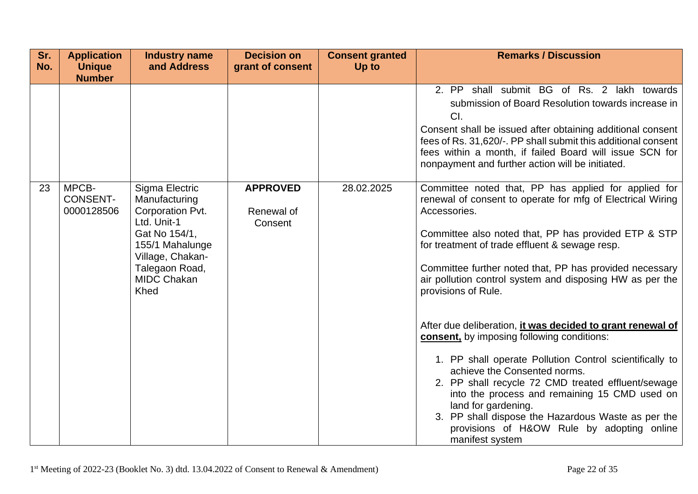| Sr.<br>No. | <b>Application</b><br><b>Unique</b>    | <b>Industry name</b><br>and Address                                                                                                                                        | <b>Decision on</b><br>grant of consent   | <b>Consent granted</b><br>Up to | <b>Remarks / Discussion</b>                                                                                                                                                                                                                                                                                                                                                                                                                                                                                                                                                                                                                                                                                                                                                                                                                            |
|------------|----------------------------------------|----------------------------------------------------------------------------------------------------------------------------------------------------------------------------|------------------------------------------|---------------------------------|--------------------------------------------------------------------------------------------------------------------------------------------------------------------------------------------------------------------------------------------------------------------------------------------------------------------------------------------------------------------------------------------------------------------------------------------------------------------------------------------------------------------------------------------------------------------------------------------------------------------------------------------------------------------------------------------------------------------------------------------------------------------------------------------------------------------------------------------------------|
|            | <b>Number</b>                          |                                                                                                                                                                            |                                          |                                 |                                                                                                                                                                                                                                                                                                                                                                                                                                                                                                                                                                                                                                                                                                                                                                                                                                                        |
|            |                                        |                                                                                                                                                                            |                                          |                                 | shall submit BG of Rs. 2 lakh towards<br>2. PP<br>submission of Board Resolution towards increase in<br>CI.<br>Consent shall be issued after obtaining additional consent<br>fees of Rs. 31,620/-. PP shall submit this additional consent<br>fees within a month, if failed Board will issue SCN for<br>nonpayment and further action will be initiated.                                                                                                                                                                                                                                                                                                                                                                                                                                                                                              |
| 23         | MPCB-<br><b>CONSENT-</b><br>0000128506 | Sigma Electric<br>Manufacturing<br>Corporation Pvt.<br>Ltd. Unit-1<br>Gat No 154/1,<br>155/1 Mahalunge<br>Village, Chakan-<br>Talegaon Road,<br><b>MIDC Chakan</b><br>Khed | <b>APPROVED</b><br>Renewal of<br>Consent | 28.02.2025                      | Committee noted that, PP has applied for applied for<br>renewal of consent to operate for mfg of Electrical Wiring<br>Accessories.<br>Committee also noted that, PP has provided ETP & STP<br>for treatment of trade effluent & sewage resp.<br>Committee further noted that, PP has provided necessary<br>air pollution control system and disposing HW as per the<br>provisions of Rule.<br>After due deliberation, it was decided to grant renewal of<br>consent, by imposing following conditions:<br>1. PP shall operate Pollution Control scientifically to<br>achieve the Consented norms.<br>2. PP shall recycle 72 CMD treated effluent/sewage<br>into the process and remaining 15 CMD used on<br>land for gardening.<br>3. PP shall dispose the Hazardous Waste as per the<br>provisions of H&OW Rule by adopting online<br>manifest system |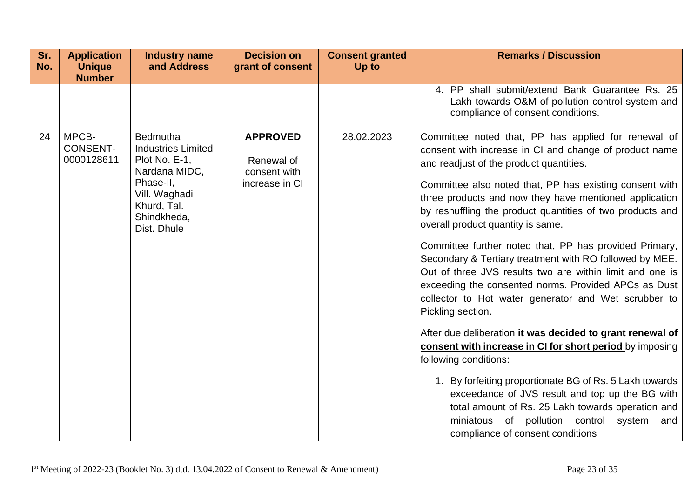| Sr.<br>No. | <b>Application</b><br><b>Unique</b><br><b>Number</b> | <b>Industry name</b><br>and Address                                                                                                                | <b>Decision on</b><br>grant of consent                          | <b>Consent granted</b><br>Up to | <b>Remarks / Discussion</b>                                                                                                                                                                                                                                                                                                                                                                                                                                                                                                                                                                                                                                                                                                                                                                                                                                                                                                                                                                                                                                                                                       |
|------------|------------------------------------------------------|----------------------------------------------------------------------------------------------------------------------------------------------------|-----------------------------------------------------------------|---------------------------------|-------------------------------------------------------------------------------------------------------------------------------------------------------------------------------------------------------------------------------------------------------------------------------------------------------------------------------------------------------------------------------------------------------------------------------------------------------------------------------------------------------------------------------------------------------------------------------------------------------------------------------------------------------------------------------------------------------------------------------------------------------------------------------------------------------------------------------------------------------------------------------------------------------------------------------------------------------------------------------------------------------------------------------------------------------------------------------------------------------------------|
|            |                                                      |                                                                                                                                                    |                                                                 |                                 | 4. PP shall submit/extend Bank Guarantee Rs. 25<br>Lakh towards O&M of pollution control system and<br>compliance of consent conditions.                                                                                                                                                                                                                                                                                                                                                                                                                                                                                                                                                                                                                                                                                                                                                                                                                                                                                                                                                                          |
| 24         | MPCB-<br><b>CONSENT-</b><br>0000128611               | Bedmutha<br><b>Industries Limited</b><br>Plot No. E-1,<br>Nardana MIDC,<br>Phase-II,<br>Vill. Waghadi<br>Khurd, Tal.<br>Shindkheda,<br>Dist. Dhule | <b>APPROVED</b><br>Renewal of<br>consent with<br>increase in CI | 28.02.2023                      | Committee noted that, PP has applied for renewal of<br>consent with increase in CI and change of product name<br>and readjust of the product quantities.<br>Committee also noted that, PP has existing consent with<br>three products and now they have mentioned application<br>by reshuffling the product quantities of two products and<br>overall product quantity is same.<br>Committee further noted that, PP has provided Primary,<br>Secondary & Tertiary treatment with RO followed by MEE.<br>Out of three JVS results two are within limit and one is<br>exceeding the consented norms. Provided APCs as Dust<br>collector to Hot water generator and Wet scrubber to<br>Pickling section.<br>After due deliberation it was decided to grant renewal of<br>consent with increase in CI for short period by imposing<br>following conditions:<br>1. By forfeiting proportionate BG of Rs. 5 Lakh towards<br>exceedance of JVS result and top up the BG with<br>total amount of Rs. 25 Lakh towards operation and<br>miniatous of pollution control<br>system<br>and<br>compliance of consent conditions |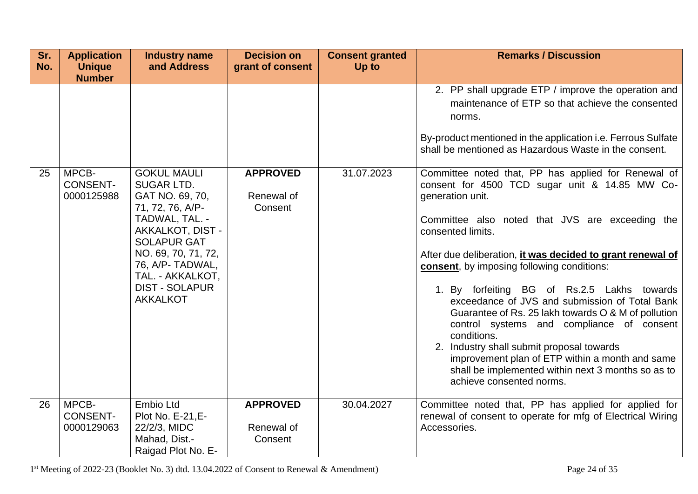| Sr.<br>No. | <b>Application</b><br><b>Unique</b><br><b>Number</b> | <b>Industry name</b><br>and Address                                                                                                                                                                                                                   | <b>Decision on</b><br>grant of consent   | <b>Consent granted</b><br>Up to | <b>Remarks / Discussion</b>                                                                                                                                                                                                                                                                                                                                                                                                                                                                                                                                                                                                                                                                                         |
|------------|------------------------------------------------------|-------------------------------------------------------------------------------------------------------------------------------------------------------------------------------------------------------------------------------------------------------|------------------------------------------|---------------------------------|---------------------------------------------------------------------------------------------------------------------------------------------------------------------------------------------------------------------------------------------------------------------------------------------------------------------------------------------------------------------------------------------------------------------------------------------------------------------------------------------------------------------------------------------------------------------------------------------------------------------------------------------------------------------------------------------------------------------|
|            |                                                      |                                                                                                                                                                                                                                                       |                                          |                                 | 2. PP shall upgrade ETP / improve the operation and<br>maintenance of ETP so that achieve the consented<br>norms.<br>By-product mentioned in the application i.e. Ferrous Sulfate<br>shall be mentioned as Hazardous Waste in the consent.                                                                                                                                                                                                                                                                                                                                                                                                                                                                          |
| 25         | MPCB-<br><b>CONSENT-</b><br>0000125988               | <b>GOKUL MAULI</b><br><b>SUGAR LTD.</b><br>GAT NO. 69, 70,<br>71, 72, 76, A/P-<br>TADWAL, TAL. -<br>AKKALKOT, DIST -<br><b>SOLAPUR GAT</b><br>NO. 69, 70, 71, 72,<br>76, A/P- TADWAL,<br>TAL. - AKKALKOT,<br><b>DIST - SOLAPUR</b><br><b>AKKALKOT</b> | <b>APPROVED</b><br>Renewal of<br>Consent | 31.07.2023                      | Committee noted that, PP has applied for Renewal of<br>consent for 4500 TCD sugar unit & 14.85 MW Co-<br>generation unit.<br>Committee also noted that JVS are exceeding the<br>consented limits.<br>After due deliberation, it was decided to grant renewal of<br>consent, by imposing following conditions:<br>1. By forfeiting BG of Rs.2.5 Lakhs towards<br>exceedance of JVS and submission of Total Bank<br>Guarantee of Rs. 25 lakh towards O & M of pollution<br>control systems and compliance of consent<br>conditions.<br>2. Industry shall submit proposal towards<br>improvement plan of ETP within a month and same<br>shall be implemented within next 3 months so as to<br>achieve consented norms. |
| 26         | MPCB-<br><b>CONSENT-</b><br>0000129063               | Embio Ltd<br>Plot No. E-21, E-<br>22/2/3, MIDC<br>Mahad, Dist.-<br>Raigad Plot No. E-                                                                                                                                                                 | <b>APPROVED</b><br>Renewal of<br>Consent | 30.04.2027                      | Committee noted that, PP has applied for applied for<br>renewal of consent to operate for mfg of Electrical Wiring<br>Accessories.                                                                                                                                                                                                                                                                                                                                                                                                                                                                                                                                                                                  |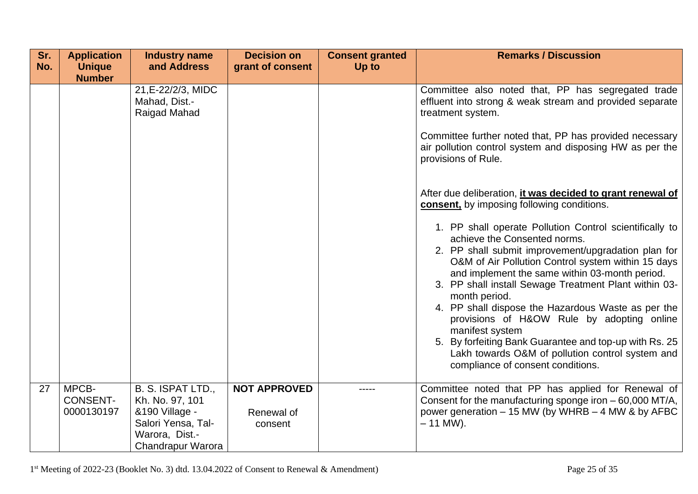| Sr.<br>No. | <b>Application</b><br><b>Unique</b>    | <b>Industry name</b><br>and Address                                                                                 | <b>Decision on</b><br>grant of consent       | <b>Consent granted</b><br>Up to | <b>Remarks / Discussion</b>                                                                                                                                                                                                                                                                                                                                                                                                                                                                                                                                                                                                                                                                                                                                                                                                                                                                                                                                                                                 |
|------------|----------------------------------------|---------------------------------------------------------------------------------------------------------------------|----------------------------------------------|---------------------------------|-------------------------------------------------------------------------------------------------------------------------------------------------------------------------------------------------------------------------------------------------------------------------------------------------------------------------------------------------------------------------------------------------------------------------------------------------------------------------------------------------------------------------------------------------------------------------------------------------------------------------------------------------------------------------------------------------------------------------------------------------------------------------------------------------------------------------------------------------------------------------------------------------------------------------------------------------------------------------------------------------------------|
|            | <b>Number</b>                          | 21, E-22/2/3, MIDC<br>Mahad, Dist.-<br>Raigad Mahad                                                                 |                                              |                                 | Committee also noted that, PP has segregated trade<br>effluent into strong & weak stream and provided separate<br>treatment system.<br>Committee further noted that, PP has provided necessary<br>air pollution control system and disposing HW as per the<br>provisions of Rule.<br>After due deliberation, it was decided to grant renewal of<br>consent, by imposing following conditions.<br>1. PP shall operate Pollution Control scientifically to<br>achieve the Consented norms.<br>2. PP shall submit improvement/upgradation plan for<br>O&M of Air Pollution Control system within 15 days<br>and implement the same within 03-month period.<br>3. PP shall install Sewage Treatment Plant within 03-<br>month period.<br>4. PP shall dispose the Hazardous Waste as per the<br>provisions of H&OW Rule by adopting online<br>manifest system<br>5. By forfeiting Bank Guarantee and top-up with Rs. 25<br>Lakh towards O&M of pollution control system and<br>compliance of consent conditions. |
| 27         | MPCB-<br><b>CONSENT-</b><br>0000130197 | B. S. ISPAT LTD.,<br>Kh. No. 97, 101<br>&190 Village -<br>Salori Yensa, Tal-<br>Warora, Dist.-<br>Chandrapur Warora | <b>NOT APPROVED</b><br>Renewal of<br>consent |                                 | Committee noted that PP has applied for Renewal of<br>Consent for the manufacturing sponge iron - 60,000 MT/A,<br>power generation $-15$ MW (by WHRB $-4$ MW & by AFBC<br>$-11$ MW).                                                                                                                                                                                                                                                                                                                                                                                                                                                                                                                                                                                                                                                                                                                                                                                                                        |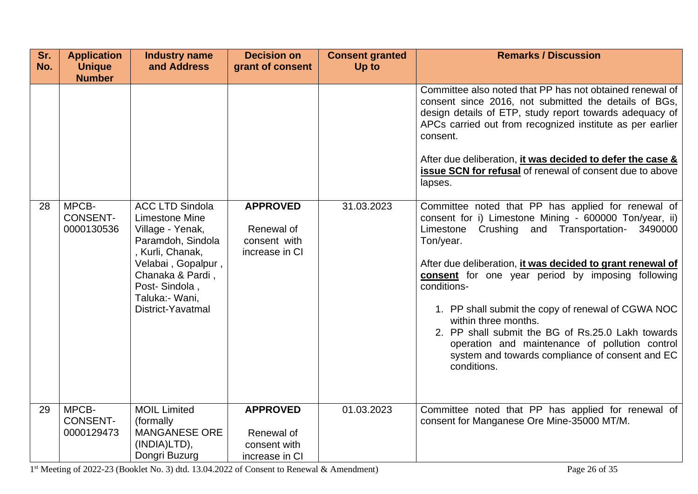| Sr.<br>No. | <b>Application</b><br><b>Unique</b>    | <b>Industry name</b><br>and Address                                                                                                                                                                    | <b>Decision on</b><br>grant of consent                          | <b>Consent granted</b><br>Up to | <b>Remarks / Discussion</b>                                                                                                                                                                                                                                                                                                                                                                                                                                                                                                                                                |
|------------|----------------------------------------|--------------------------------------------------------------------------------------------------------------------------------------------------------------------------------------------------------|-----------------------------------------------------------------|---------------------------------|----------------------------------------------------------------------------------------------------------------------------------------------------------------------------------------------------------------------------------------------------------------------------------------------------------------------------------------------------------------------------------------------------------------------------------------------------------------------------------------------------------------------------------------------------------------------------|
|            | <b>Number</b>                          |                                                                                                                                                                                                        |                                                                 |                                 | Committee also noted that PP has not obtained renewal of<br>consent since 2016, not submitted the details of BGs,<br>design details of ETP, study report towards adequacy of<br>APCs carried out from recognized institute as per earlier<br>consent.<br>After due deliberation, it was decided to defer the case &<br>issue SCN for refusal of renewal of consent due to above<br>lapses.                                                                                                                                                                                 |
| 28         | MPCB-<br><b>CONSENT-</b><br>0000130536 | <b>ACC LTD Sindola</b><br>Limestone Mine<br>Village - Yenak,<br>Paramdoh, Sindola<br>, Kurli, Chanak,<br>Velabai, Gopalpur,<br>Chanaka & Pardi,<br>Post-Sindola,<br>Taluka: Wani,<br>District-Yavatmal | <b>APPROVED</b><br>Renewal of<br>consent with<br>increase in CI | 31.03.2023                      | Committee noted that PP has applied for renewal of<br>consent for i) Limestone Mining - 600000 Ton/year, ii)<br>Limestone<br>Crushing and Transportation-<br>3490000<br>Ton/year.<br>After due deliberation, it was decided to grant renewal of<br>consent for one year period by imposing following<br>conditions-<br>1. PP shall submit the copy of renewal of CGWA NOC<br>within three months.<br>2. PP shall submit the BG of Rs.25.0 Lakh towards<br>operation and maintenance of pollution control<br>system and towards compliance of consent and EC<br>conditions. |
| 29         | MPCB-<br><b>CONSENT-</b><br>0000129473 | <b>MOIL Limited</b><br>(formally<br><b>MANGANESE ORE</b><br>(INDIA)LTD),<br>Dongri Buzurg                                                                                                              | <b>APPROVED</b><br>Renewal of<br>consent with<br>increase in CI | 01.03.2023                      | Committee noted that PP has applied for renewal of<br>consent for Manganese Ore Mine-35000 MT/M.                                                                                                                                                                                                                                                                                                                                                                                                                                                                           |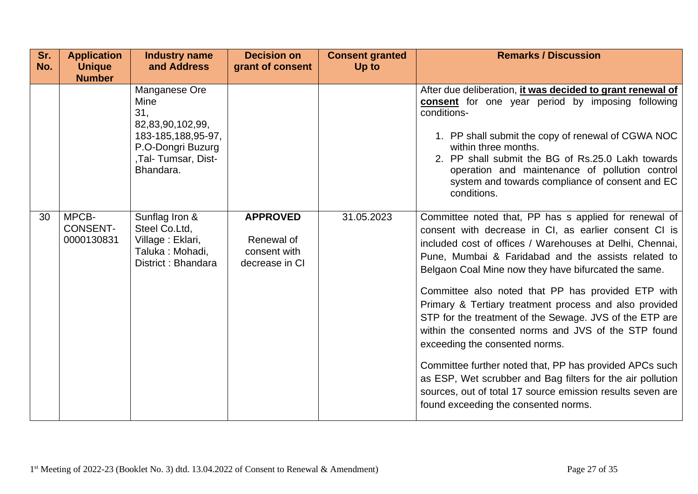| Sr.<br>No. | <b>Application</b><br><b>Unique</b><br><b>Number</b> | <b>Industry name</b><br>and Address                                                                                                                 | <b>Decision on</b><br>grant of consent       | <b>Consent granted</b><br>Up to | <b>Remarks / Discussion</b>                                                                                                                                                                                                                                                                                                                                                                                                                                                                                                                                                                                                                                                                                                         |
|------------|------------------------------------------------------|-----------------------------------------------------------------------------------------------------------------------------------------------------|----------------------------------------------|---------------------------------|-------------------------------------------------------------------------------------------------------------------------------------------------------------------------------------------------------------------------------------------------------------------------------------------------------------------------------------------------------------------------------------------------------------------------------------------------------------------------------------------------------------------------------------------------------------------------------------------------------------------------------------------------------------------------------------------------------------------------------------|
| 30         | MPCB-                                                | Manganese Ore<br>Mine<br>31,<br>82,83,90,102,99,<br>183-185, 188, 95-97,<br>P.O-Dongri Buzurg<br>,Tal- Tumsar, Dist-<br>Bhandara.<br>Sunflag Iron & | <b>APPROVED</b>                              | 31.05.2023                      | After due deliberation, it was decided to grant renewal of<br>consent for one year period by imposing following<br>conditions-<br>1. PP shall submit the copy of renewal of CGWA NOC<br>within three months.<br>2. PP shall submit the BG of Rs.25.0 Lakh towards<br>operation and maintenance of pollution control<br>system and towards compliance of consent and EC<br>conditions.<br>Committee noted that, PP has s applied for renewal of                                                                                                                                                                                                                                                                                      |
|            | <b>CONSENT-</b><br>0000130831                        | Steel Co.Ltd,<br>Village: Eklari,<br>Taluka: Mohadi,<br>District: Bhandara                                                                          | Renewal of<br>consent with<br>decrease in CI |                                 | consent with decrease in CI, as earlier consent CI is<br>included cost of offices / Warehouses at Delhi, Chennai,<br>Pune, Mumbai & Faridabad and the assists related to<br>Belgaon Coal Mine now they have bifurcated the same.<br>Committee also noted that PP has provided ETP with<br>Primary & Tertiary treatment process and also provided<br>STP for the treatment of the Sewage. JVS of the ETP are<br>within the consented norms and JVS of the STP found<br>exceeding the consented norms.<br>Committee further noted that, PP has provided APCs such<br>as ESP, Wet scrubber and Bag filters for the air pollution<br>sources, out of total 17 source emission results seven are<br>found exceeding the consented norms. |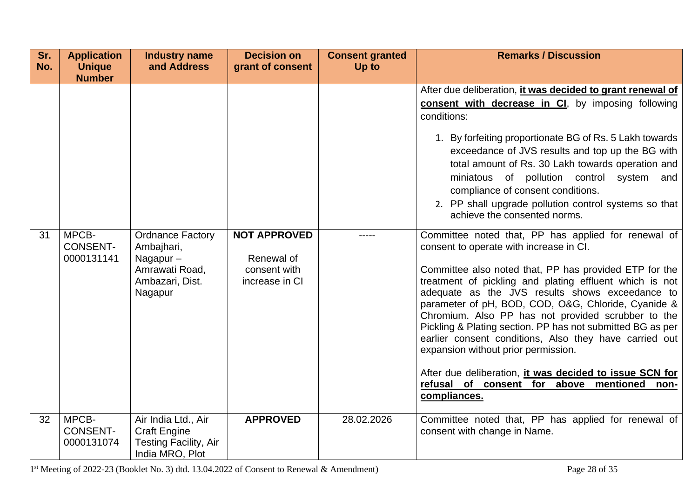| Sr.<br>No. | <b>Application</b><br><b>Unique</b><br><b>Number</b> | <b>Industry name</b><br>and Address                                                               | <b>Decision on</b><br>grant of consent                              | <b>Consent granted</b><br>Up to | <b>Remarks / Discussion</b>                                                                                                                                                                                                                                                                                                                                                                                                                                                                                                                                                                                                                                                     |
|------------|------------------------------------------------------|---------------------------------------------------------------------------------------------------|---------------------------------------------------------------------|---------------------------------|---------------------------------------------------------------------------------------------------------------------------------------------------------------------------------------------------------------------------------------------------------------------------------------------------------------------------------------------------------------------------------------------------------------------------------------------------------------------------------------------------------------------------------------------------------------------------------------------------------------------------------------------------------------------------------|
|            |                                                      |                                                                                                   |                                                                     |                                 | After due deliberation, it was decided to grant renewal of<br>consent with decrease in CI, by imposing following<br>conditions:<br>1. By forfeiting proportionate BG of Rs. 5 Lakh towards<br>exceedance of JVS results and top up the BG with<br>total amount of Rs. 30 Lakh towards operation and<br>miniatous of pollution control system<br>and<br>compliance of consent conditions.<br>2. PP shall upgrade pollution control systems so that<br>achieve the consented norms.                                                                                                                                                                                               |
| 31         | MPCB-<br><b>CONSENT-</b><br>0000131141               | <b>Ordnance Factory</b><br>Ambajhari,<br>Nagapur-<br>Amrawati Road,<br>Ambazari, Dist.<br>Nagapur | <b>NOT APPROVED</b><br>Renewal of<br>consent with<br>increase in CI |                                 | Committee noted that, PP has applied for renewal of<br>consent to operate with increase in CI.<br>Committee also noted that, PP has provided ETP for the<br>treatment of pickling and plating effluent which is not<br>adequate as the JVS results shows exceedance to<br>parameter of pH, BOD, COD, O&G, Chloride, Cyanide &<br>Chromium. Also PP has not provided scrubber to the<br>Pickling & Plating section. PP has not submitted BG as per<br>earlier consent conditions, Also they have carried out<br>expansion without prior permission.<br>After due deliberation, it was decided to issue SCN for<br>refusal of consent for above mentioned<br>non-<br>compliances. |
| 32         | MPCB-<br><b>CONSENT-</b><br>0000131074               | Air India Ltd., Air<br><b>Craft Engine</b><br><b>Testing Facility, Air</b><br>India MRO, Plot     | <b>APPROVED</b>                                                     | 28.02.2026                      | Committee noted that, PP has applied for renewal of<br>consent with change in Name.                                                                                                                                                                                                                                                                                                                                                                                                                                                                                                                                                                                             |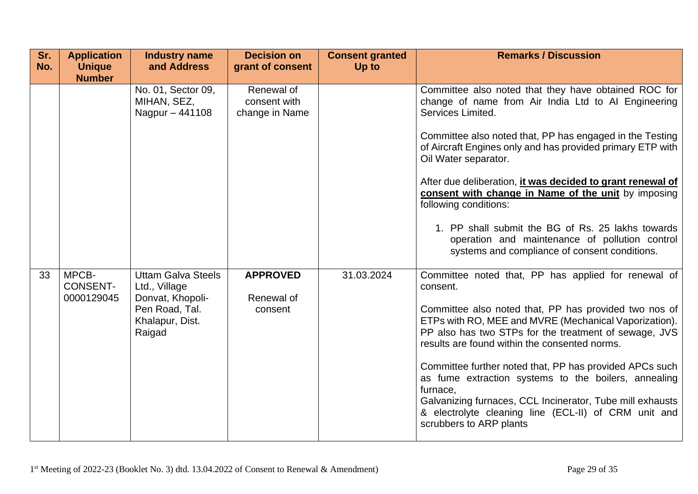| Sr.<br>No. | <b>Application</b><br><b>Unique</b><br><b>Number</b> | <b>Industry name</b><br>and Address                                                                           | <b>Decision on</b><br>grant of consent       | <b>Consent granted</b><br>Up to | <b>Remarks / Discussion</b>                                                                                                                                                                                                                                                                                                                                                                                                                                                                                                                                                              |
|------------|------------------------------------------------------|---------------------------------------------------------------------------------------------------------------|----------------------------------------------|---------------------------------|------------------------------------------------------------------------------------------------------------------------------------------------------------------------------------------------------------------------------------------------------------------------------------------------------------------------------------------------------------------------------------------------------------------------------------------------------------------------------------------------------------------------------------------------------------------------------------------|
|            |                                                      | No. 01, Sector 09,<br>MIHAN, SEZ,<br>Nagpur - 441108                                                          | Renewal of<br>consent with<br>change in Name |                                 | Committee also noted that they have obtained ROC for<br>change of name from Air India Ltd to AI Engineering<br>Services Limited.<br>Committee also noted that, PP has engaged in the Testing<br>of Aircraft Engines only and has provided primary ETP with<br>Oil Water separator.<br>After due deliberation, it was decided to grant renewal of<br>consent with change in Name of the unit by imposing<br>following conditions:<br>1. PP shall submit the BG of Rs. 25 lakhs towards<br>operation and maintenance of pollution control<br>systems and compliance of consent conditions. |
| 33         | MPCB-<br><b>CONSENT-</b><br>0000129045               | <b>Uttam Galva Steels</b><br>Ltd., Village<br>Donvat, Khopoli-<br>Pen Road, Tal.<br>Khalapur, Dist.<br>Raigad | <b>APPROVED</b><br>Renewal of<br>consent     | 31.03.2024                      | Committee noted that, PP has applied for renewal of<br>consent.<br>Committee also noted that, PP has provided two nos of<br>ETPs with RO, MEE and MVRE (Mechanical Vaporization).<br>PP also has two STPs for the treatment of sewage, JVS<br>results are found within the consented norms.<br>Committee further noted that, PP has provided APCs such<br>as fume extraction systems to the boilers, annealing<br>furnace,<br>Galvanizing furnaces, CCL Incinerator, Tube mill exhausts<br>& electrolyte cleaning line (ECL-II) of CRM unit and<br>scrubbers to ARP plants               |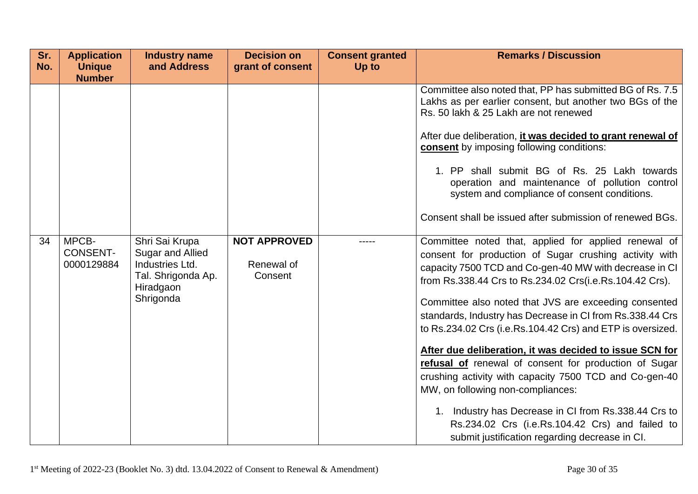| Sr.<br>No. | <b>Application</b><br><b>Unique</b><br><b>Number</b> | <b>Industry name</b><br>and Address                                                                   | <b>Decision on</b><br>grant of consent       | <b>Consent granted</b><br>Up to | <b>Remarks / Discussion</b>                                                                                                                                                                                                                                                                                                                                                                                                                                                                                                                                                                                                                                                                                                                                                                             |
|------------|------------------------------------------------------|-------------------------------------------------------------------------------------------------------|----------------------------------------------|---------------------------------|---------------------------------------------------------------------------------------------------------------------------------------------------------------------------------------------------------------------------------------------------------------------------------------------------------------------------------------------------------------------------------------------------------------------------------------------------------------------------------------------------------------------------------------------------------------------------------------------------------------------------------------------------------------------------------------------------------------------------------------------------------------------------------------------------------|
|            |                                                      |                                                                                                       |                                              |                                 | Committee also noted that, PP has submitted BG of Rs. 7.5<br>Lakhs as per earlier consent, but another two BGs of the<br>Rs. 50 lakh & 25 Lakh are not renewed<br>After due deliberation, it was decided to grant renewal of<br>consent by imposing following conditions:<br>1. PP shall submit BG of Rs. 25 Lakh towards<br>operation and maintenance of pollution control<br>system and compliance of consent conditions.<br>Consent shall be issued after submission of renewed BGs.                                                                                                                                                                                                                                                                                                                 |
| 34         | MPCB-<br><b>CONSENT-</b><br>0000129884               | Shri Sai Krupa<br>Sugar and Allied<br>Industries Ltd.<br>Tal. Shrigonda Ap.<br>Hiradgaon<br>Shrigonda | <b>NOT APPROVED</b><br>Renewal of<br>Consent |                                 | Committee noted that, applied for applied renewal of<br>consent for production of Sugar crushing activity with<br>capacity 7500 TCD and Co-gen-40 MW with decrease in CI<br>from Rs.338.44 Crs to Rs.234.02 Crs(i.e.Rs.104.42 Crs).<br>Committee also noted that JVS are exceeding consented<br>standards, Industry has Decrease in CI from Rs.338.44 Crs<br>to Rs.234.02 Crs (i.e.Rs.104.42 Crs) and ETP is oversized.<br>After due deliberation, it was decided to issue SCN for<br>refusal of renewal of consent for production of Sugar<br>crushing activity with capacity 7500 TCD and Co-gen-40<br>MW, on following non-compliances:<br>1. Industry has Decrease in CI from Rs.338.44 Crs to<br>Rs.234.02 Crs (i.e.Rs.104.42 Crs) and failed to<br>submit justification regarding decrease in CI. |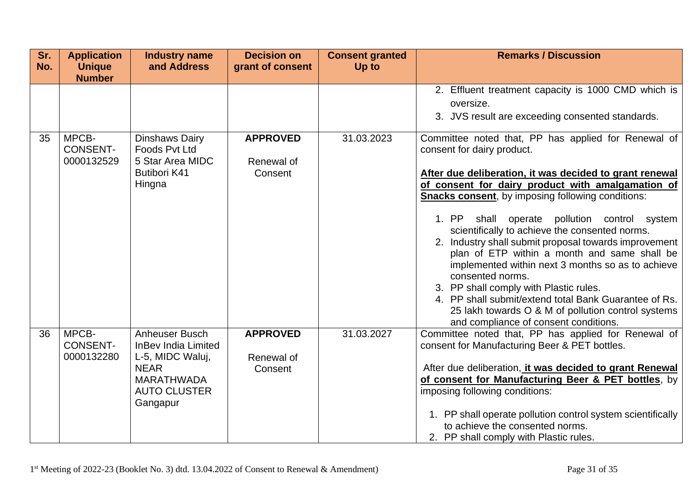| Sr.<br>No. | <b>Application</b><br><b>Unique</b>    | <b>Industry name</b><br>and Address                                                                                                     | <b>Decision on</b><br>grant of consent   | <b>Consent granted</b><br>Up to | <b>Remarks / Discussion</b>                                                                                                                                                                                                                                                                                                                                                                                                                                                                                                                                                                                                                                                                                                                                |
|------------|----------------------------------------|-----------------------------------------------------------------------------------------------------------------------------------------|------------------------------------------|---------------------------------|------------------------------------------------------------------------------------------------------------------------------------------------------------------------------------------------------------------------------------------------------------------------------------------------------------------------------------------------------------------------------------------------------------------------------------------------------------------------------------------------------------------------------------------------------------------------------------------------------------------------------------------------------------------------------------------------------------------------------------------------------------|
|            | <b>Number</b>                          |                                                                                                                                         |                                          |                                 | 2. Effluent treatment capacity is 1000 CMD which is<br>oversize.<br>3. JVS result are exceeding consented standards.                                                                                                                                                                                                                                                                                                                                                                                                                                                                                                                                                                                                                                       |
| 35         | MPCB-<br><b>CONSENT-</b><br>0000132529 | Dinshaws Dairy<br>Foods Pvt Ltd<br>5 Star Area MIDC<br><b>Butibori K41</b><br>Hingna                                                    | <b>APPROVED</b><br>Renewal of<br>Consent | 31.03.2023                      | Committee noted that, PP has applied for Renewal of<br>consent for dairy product.<br>After due deliberation, it was decided to grant renewal<br>of consent for dairy product with amalgamation of<br><b>Snacks consent</b> , by imposing following conditions:<br>1. PP<br>shall<br>operate pollution control system<br>scientifically to achieve the consented norms.<br>2. Industry shall submit proposal towards improvement<br>plan of ETP within a month and same shall be<br>implemented within next 3 months so as to achieve<br>consented norms.<br>3. PP shall comply with Plastic rules.<br>4. PP shall submit/extend total Bank Guarantee of Rs.<br>25 lakh towards O & M of pollution control systems<br>and compliance of consent conditions. |
| 36         | MPCB-<br><b>CONSENT-</b><br>0000132280 | Anheuser Busch<br><b>InBev India Limited</b><br>L-5, MIDC Waluj,<br><b>NEAR</b><br><b>MARATHWADA</b><br><b>AUTO CLUSTER</b><br>Gangapur | <b>APPROVED</b><br>Renewal of<br>Consent | 31.03.2027                      | Committee noted that, PP has applied for Renewal of<br>consent for Manufacturing Beer & PET bottles.<br>After due deliberation, it was decided to grant Renewal<br>of consent for Manufacturing Beer & PET bottles, by<br>imposing following conditions:<br>1. PP shall operate pollution control system scientifically<br>to achieve the consented norms.<br>2. PP shall comply with Plastic rules.                                                                                                                                                                                                                                                                                                                                                       |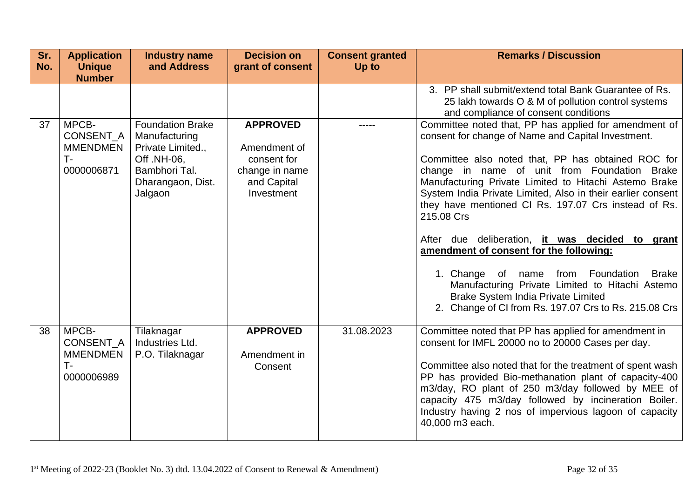| Sr. | <b>Application</b>                                           | <b>Industry name</b>                                                                                                   | <b>Decision on</b>                                                                            | <b>Consent granted</b> | <b>Remarks / Discussion</b>                                                                                                                                                                                                                                                                                                                                                                                                                                                                                                                                                                                                                                                                                                 |
|-----|--------------------------------------------------------------|------------------------------------------------------------------------------------------------------------------------|-----------------------------------------------------------------------------------------------|------------------------|-----------------------------------------------------------------------------------------------------------------------------------------------------------------------------------------------------------------------------------------------------------------------------------------------------------------------------------------------------------------------------------------------------------------------------------------------------------------------------------------------------------------------------------------------------------------------------------------------------------------------------------------------------------------------------------------------------------------------------|
| No. | <b>Unique</b><br><b>Number</b>                               | and Address                                                                                                            | grant of consent                                                                              | Up to                  |                                                                                                                                                                                                                                                                                                                                                                                                                                                                                                                                                                                                                                                                                                                             |
|     |                                                              |                                                                                                                        |                                                                                               |                        | 3. PP shall submit/extend total Bank Guarantee of Rs.<br>25 lakh towards O & M of pollution control systems<br>and compliance of consent conditions                                                                                                                                                                                                                                                                                                                                                                                                                                                                                                                                                                         |
| 37  | MPCB-<br>CONSENT_A<br><b>MMENDMEN</b><br>T-<br>0000006871    | Foundation Brake<br>Manufacturing<br>Private Limited.,<br>Off. NH-06,<br>Bambhori Tal.<br>Dharangaon, Dist.<br>Jalgaon | <b>APPROVED</b><br>Amendment of<br>consent for<br>change in name<br>and Capital<br>Investment |                        | Committee noted that, PP has applied for amendment of<br>consent for change of Name and Capital Investment.<br>Committee also noted that, PP has obtained ROC for<br>change in name of unit from Foundation Brake<br>Manufacturing Private Limited to Hitachi Astemo Brake<br>System India Private Limited, Also in their earlier consent<br>they have mentioned CI Rs. 197.07 Crs instead of Rs.<br>215.08 Crs<br>After due deliberation, it was decided to grant<br>amendment of consent for the following:<br>1. Change of name from Foundation<br><b>Brake</b><br>Manufacturing Private Limited to Hitachi Astemo<br><b>Brake System India Private Limited</b><br>2. Change of CI from Rs. 197.07 Crs to Rs. 215.08 Crs |
| 38  | MPCB-<br>CONSENT_A<br><b>MMENDMEN</b><br>$T -$<br>0000006989 | Tilaknagar<br>Industries Ltd.<br>P.O. Tilaknagar                                                                       | <b>APPROVED</b><br>Amendment in<br>Consent                                                    | 31.08.2023             | Committee noted that PP has applied for amendment in<br>consent for IMFL 20000 no to 20000 Cases per day.<br>Committee also noted that for the treatment of spent wash<br>PP has provided Bio-methanation plant of capacity-400<br>m3/day, RO plant of 250 m3/day followed by MEE of<br>capacity 475 m3/day followed by incineration Boiler.<br>Industry having 2 nos of impervious lagoon of capacity<br>40,000 m3 each.                                                                                                                                                                                                                                                                                                   |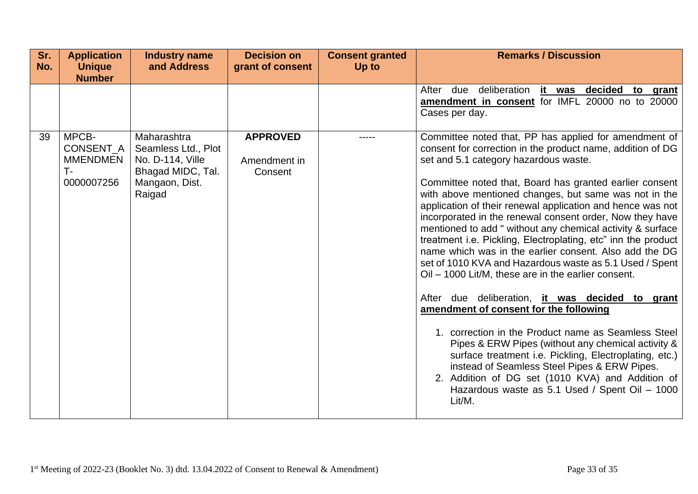| Sr.<br>No. | <b>Application</b><br><b>Unique</b><br><b>Number</b>        | <b>Industry name</b><br>and Address                                                                     | <b>Decision on</b><br>grant of consent     | <b>Consent granted</b><br>Up to | <b>Remarks / Discussion</b>                                                                                                                                                                                                                                                                                                                                                                                                                                                                                                                                                                                                                                                                                                                                                                                                                                                                                                                                                                                                                                                                                                                               |
|------------|-------------------------------------------------------------|---------------------------------------------------------------------------------------------------------|--------------------------------------------|---------------------------------|-----------------------------------------------------------------------------------------------------------------------------------------------------------------------------------------------------------------------------------------------------------------------------------------------------------------------------------------------------------------------------------------------------------------------------------------------------------------------------------------------------------------------------------------------------------------------------------------------------------------------------------------------------------------------------------------------------------------------------------------------------------------------------------------------------------------------------------------------------------------------------------------------------------------------------------------------------------------------------------------------------------------------------------------------------------------------------------------------------------------------------------------------------------|
|            |                                                             |                                                                                                         |                                            |                                 | deliberation<br>it was decided to grant<br>After<br>due<br>amendment in consent for IMFL 20000 no to 20000<br>Cases per day.                                                                                                                                                                                                                                                                                                                                                                                                                                                                                                                                                                                                                                                                                                                                                                                                                                                                                                                                                                                                                              |
| 39         | MPCB-<br>CONSENT_A<br><b>MMENDMEN</b><br>$T-$<br>0000007256 | Maharashtra<br>Seamless Ltd., Plot<br>No. D-114, Ville<br>Bhagad MIDC, Tal.<br>Mangaon, Dist.<br>Raigad | <b>APPROVED</b><br>Amendment in<br>Consent |                                 | Committee noted that, PP has applied for amendment of<br>consent for correction in the product name, addition of DG<br>set and 5.1 category hazardous waste.<br>Committee noted that, Board has granted earlier consent<br>with above mentioned changes, but same was not in the<br>application of their renewal application and hence was not<br>incorporated in the renewal consent order, Now they have<br>mentioned to add " without any chemical activity & surface<br>treatment i.e. Pickling, Electroplating, etc" inn the product<br>name which was in the earlier consent. Also add the DG<br>set of 1010 KVA and Hazardous waste as 5.1 Used / Spent<br>Oil – 1000 Lit/M, these are in the earlier consent.<br>After due deliberation, it was decided to grant<br>amendment of consent for the following<br>1. correction in the Product name as Seamless Steel<br>Pipes & ERW Pipes (without any chemical activity &<br>surface treatment i.e. Pickling, Electroplating, etc.)<br>instead of Seamless Steel Pipes & ERW Pipes.<br>2. Addition of DG set (1010 KVA) and Addition of<br>Hazardous waste as 5.1 Used / Spent Oil - 1000<br>Lit/M. |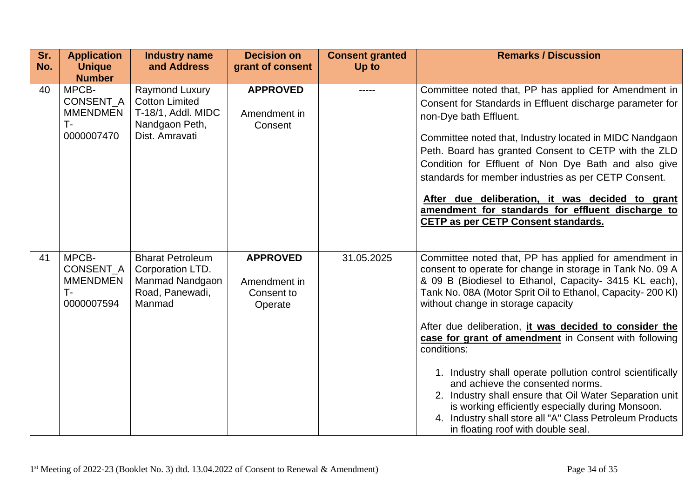| Sr.<br>No. | <b>Application</b><br><b>Unique</b><br><b>Number</b>              | <b>Industry name</b><br>and Address                                                               | <b>Decision on</b><br>grant of consent                   | <b>Consent granted</b><br>Up to | <b>Remarks / Discussion</b>                                                                                                                                                                                                                                                                                                                                                                                                                                                                                                                                                                                                                                                                                                            |
|------------|-------------------------------------------------------------------|---------------------------------------------------------------------------------------------------|----------------------------------------------------------|---------------------------------|----------------------------------------------------------------------------------------------------------------------------------------------------------------------------------------------------------------------------------------------------------------------------------------------------------------------------------------------------------------------------------------------------------------------------------------------------------------------------------------------------------------------------------------------------------------------------------------------------------------------------------------------------------------------------------------------------------------------------------------|
| 40         | MPCB-<br>CONSENT_A<br><b>MMENDMEN</b><br><b>T</b> -<br>0000007470 | Raymond Luxury<br><b>Cotton Limited</b><br>T-18/1, Addl. MIDC<br>Nandgaon Peth,<br>Dist. Amravati | <b>APPROVED</b><br>Amendment in<br>Consent               | -----                           | Committee noted that, PP has applied for Amendment in<br>Consent for Standards in Effluent discharge parameter for<br>non-Dye bath Effluent.<br>Committee noted that, Industry located in MIDC Nandgaon<br>Peth. Board has granted Consent to CETP with the ZLD<br>Condition for Effluent of Non Dye Bath and also give<br>standards for member industries as per CETP Consent.<br>After due deliberation, it was decided to grant<br>amendment for standards for effluent discharge to<br>CETP as per CETP Consent standards.                                                                                                                                                                                                         |
| 41         | MPCB-<br>CONSENT_A<br><b>MMENDMEN</b><br>$T-$<br>0000007594       | <b>Bharat Petroleum</b><br>Corporation LTD.<br>Manmad Nandgaon<br>Road, Panewadi,<br>Manmad       | <b>APPROVED</b><br>Amendment in<br>Consent to<br>Operate | 31.05.2025                      | Committee noted that, PP has applied for amendment in<br>consent to operate for change in storage in Tank No. 09 A<br>& 09 B (Biodiesel to Ethanol, Capacity- 3415 KL each),<br>Tank No. 08A (Motor Sprit Oil to Ethanol, Capacity-200 KI)<br>without change in storage capacity<br>After due deliberation, it was decided to consider the<br>case for grant of amendment in Consent with following<br>conditions:<br>1. Industry shall operate pollution control scientifically<br>and achieve the consented norms.<br>2. Industry shall ensure that Oil Water Separation unit<br>is working efficiently especially during Monsoon.<br>4. Industry shall store all "A" Class Petroleum Products<br>in floating roof with double seal. |